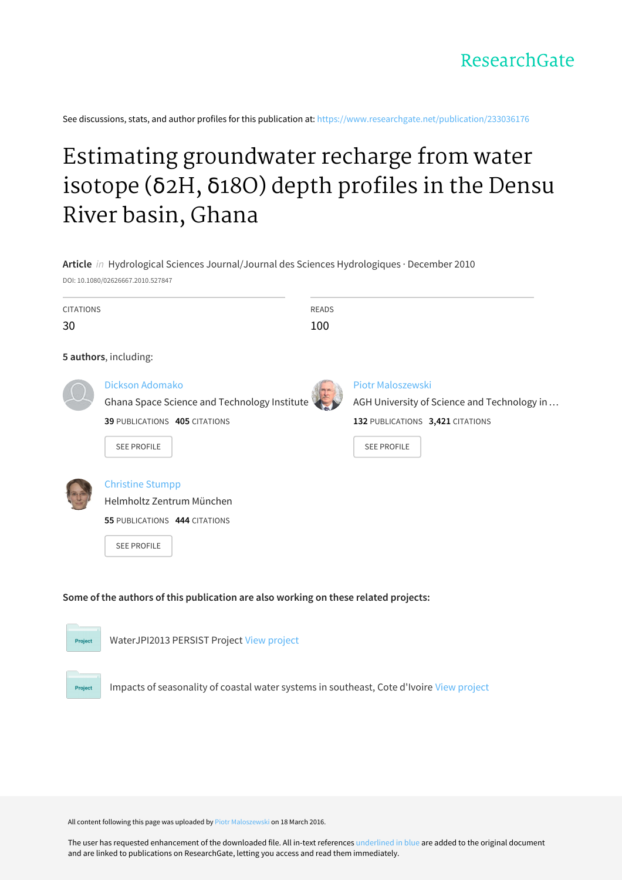See discussions, stats, and author profiles for this publication at: [https://www.researchgate.net/publication/233036176](https://www.researchgate.net/publication/233036176_Estimating_groundwater_recharge_from_water_isotope_d2H_d18O_depth_profiles_in_the_Densu_River_basin_Ghana?enrichId=rgreq-f515edda2a0432e5526d3229e8ae0b30-XXX&enrichSource=Y292ZXJQYWdlOzIzMzAzNjE3NjtBUzozNDA5NDU2NDA5MzU0MzBAMTQ1ODI5OTE4NDAwMg%3D%3D&el=1_x_2&_esc=publicationCoverPdf)

# Estimating [groundwater](https://www.researchgate.net/publication/233036176_Estimating_groundwater_recharge_from_water_isotope_d2H_d18O_depth_profiles_in_the_Densu_River_basin_Ghana?enrichId=rgreq-f515edda2a0432e5526d3229e8ae0b30-XXX&enrichSource=Y292ZXJQYWdlOzIzMzAzNjE3NjtBUzozNDA5NDU2NDA5MzU0MzBAMTQ1ODI5OTE4NDAwMg%3D%3D&el=1_x_3&_esc=publicationCoverPdf) recharge from water isotope (δ2H, δ18O) depth profiles in the Densu River basin, Ghana



Impacts of seasonality of coastal water systems in southeast, Cote d'Ivoire View [project](https://www.researchgate.net/project/Impacts-of-seasonality-of-coastal-water-systems-in-southeast-Cote-dIvoire?enrichId=rgreq-f515edda2a0432e5526d3229e8ae0b30-XXX&enrichSource=Y292ZXJQYWdlOzIzMzAzNjE3NjtBUzozNDA5NDU2NDA5MzU0MzBAMTQ1ODI5OTE4NDAwMg%3D%3D&el=1_x_9&_esc=publicationCoverPdf)

All content following this page was uploaded by Piotr [Maloszewski](https://www.researchgate.net/profile/Piotr_Maloszewski?enrichId=rgreq-f515edda2a0432e5526d3229e8ae0b30-XXX&enrichSource=Y292ZXJQYWdlOzIzMzAzNjE3NjtBUzozNDA5NDU2NDA5MzU0MzBAMTQ1ODI5OTE4NDAwMg%3D%3D&el=1_x_10&_esc=publicationCoverPdf) on 18 March 2016.

Project

The user has requested enhancement of the downloaded file. All in-text references underlined in blue are added to the original document and are linked to publications on ResearchGate, letting you access and read them immediately.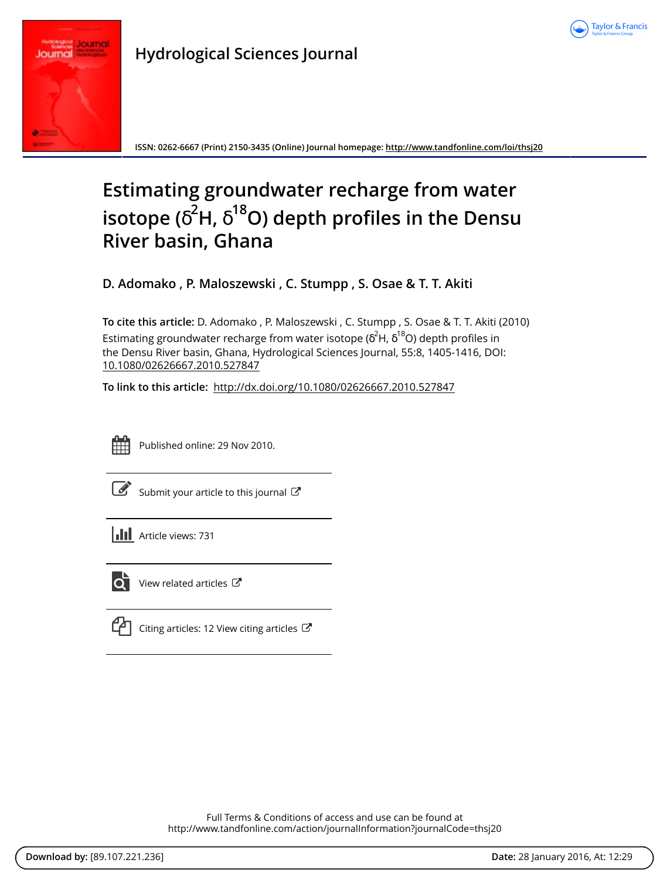



**ISSN: 0262-6667 (Print) 2150-3435 (Online) Journal homepage:<http://www.tandfonline.com/loi/thsj20>**

# **Estimating groundwater recharge from water isotope (**δ **<sup>2</sup>H,** δ **<sup>18</sup>O) depth profiles in the Densu River basin, Ghana**

**D. Adomako , P. Maloszewski , C. Stumpp , S. Osae & T. T. Akiti**

**To cite this article:** D. Adomako , P. Maloszewski , C. Stumpp , S. Osae & T. T. Akiti (2010) Estimating groundwater recharge from water isotope ( $\delta^2$ H,  $\delta^{18}$ O) depth profiles in the Densu River basin, Ghana, Hydrological Sciences Journal, 55:8, 1405-1416, DOI: [10.1080/02626667.2010.527847](http://www.tandfonline.com/action/showCitFormats?doi=10.1080/02626667.2010.527847)

**To link to this article:** <http://dx.doi.org/10.1080/02626667.2010.527847>



Published online: 29 Nov 2010.

[Submit your article to this journal](http://www.tandfonline.com/action/authorSubmission?journalCode=thsj20&page=instructions)  $\mathbb{Z}$ 





 $\overline{\mathbf{Q}}$  [View related articles](http://www.tandfonline.com/doi/mlt/10.1080/02626667.2010.527847)  $\mathbf{C}$ 

| Citing articles: 12 View citing articles $\mathbb{C}^{\bullet}$ |  |
|-----------------------------------------------------------------|--|
|                                                                 |  |

Full Terms & Conditions of access and use can be found at <http://www.tandfonline.com/action/journalInformation?journalCode=thsj20>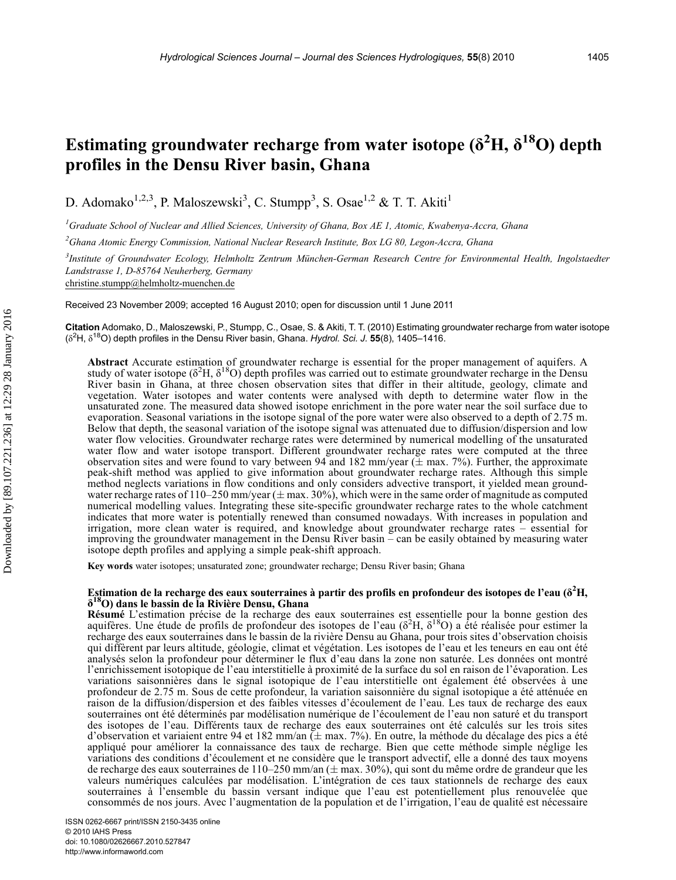# Estimating groundwater recharge from water isotope ( $\delta^2\text{H}, \, \delta^{18}\text{O}$ ) depth profiles in the Densu River basin, Ghana

D. Adomako<sup>1,2,3</sup>, P. Maloszewski<sup>3</sup>, C. Stumpp<sup>3</sup>, S. Osae<sup>1,2</sup> & T. T. Akiti<sup>1</sup>

<sup>1</sup>Graduate School of Nuclear and Allied Sciences, University of Ghana, Box AE 1, Atomic, Kwabenya-Accra, Ghana

 $^2$ Ghana Atomic Energy Commission, National Nuclear Research Institute, Box LG 80, Legon-Accra, Ghana

<sup>3</sup>Institute of Groundwater Ecology, Helmholtz Zentrum München-German Research Centre for Environmental Health, Ingolstaedter Landstrasse 1, D-85764 Neuherberg, Germany christine.stumpp@helmholtz-muenchen.de

Received 23 November 2009; accepted 16 August 2010; open for discussion until 1 June 2011

Citation Adomako, D., Maloszewski, P., Stumpp, C., Osae, S. & Akiti, T. T. (2010) Estimating groundwater recharge from water isotope  $(\delta^2 H, \delta^{18} O)$  depth profiles in the Densu River basin, Ghana. Hydrol. Sci. J. 55(8), 1405–1416.

Abstract Accurate estimation of groundwater recharge is essential for the proper management of aquifers. A study of water isotope  $(\delta^2 H, \delta^{18} O)$  depth profiles was carried out to estimate groundwater recharge in the Densu River basin in Ghana, at three chosen observation sites that differ in their altitude, geology, climate and vegetation. Water isotopes and water contents were analysed with depth to determine water flow in the unsaturated zone. The measured data showed isotope enrichment in the pore water near the soil surface due to evaporation. Seasonal variations in the isotope signal of the pore water were also observed to a depth of 2.75 m. Below that depth, the seasonal variation of the isotope signal was attenuated due to diffusion/dispersion and low water flow velocities. Groundwater recharge rates were determined by numerical modelling of the unsaturated water flow and water isotope transport. Different groundwater recharge rates were computed at the three observation sites and were found to vary between 94 and 182 mm/year ( $\pm$  max. 7%). Further, the approximate peak-shift method was applied to give information about groundwater recharge rates. Although this simple method neglects variations in flow conditions and only considers advective transport, it yielded mean groundwater recharge rates of 110–250 mm/year ( $\pm$  max. 30%), which were in the same order of magnitude as computed numerical modelling values. Integrating these site-specific groundwater recharge rates to the whole catchment indicates that more water is potentially renewed than consumed nowadays. With increases in population and irrigation, more clean water is required, and knowledge about groundwater recharge rates – essential for improving the groundwater management in the Densu River basin – can be easily obtained by measuring water isotope depth profiles and applying a simple peak-shift approach.

Key words water isotopes; unsaturated zone; groundwater recharge; Densu River basin; Ghana

#### Estimation de la recharge des eaux souterraines à partir des profils en profondeur des isotopes de l'eau ( $\delta^2{\rm H},$ δ18O) dans le bassin de la Rivière Densu, Ghana

Résumé L'estimation précise de la recharge des eaux souterraines est essentielle pour la bonne gestion des aquifères. Une étude de profils de profondeur des isotopes de l'eau  $(\delta^2H, \delta^{18}O)$  a été réalisée pour estimer la recharge des eaux souterraines dans le bassin de la rivière Densu au Ghana, pour trois sites d'observation choisis qui diffèrent par leurs altitude, géologie, climat et végétation. Les isotopes de l'eau et les teneurs en eau ont été analysés selon la profondeur pour déterminer le flux d'eau dans la zone non saturée. Les données ont montré l'enrichissement isotopique de l'eau interstitielle à proximité de la surface du sol en raison de l'évaporation. Les variations saisonnières dans le signal isotopique de l'eau interstitielle ont également été observées à une profondeur de 2.75 m. Sous de cette profondeur, la variation saisonnière du signal isotopique a été atténuée en raison de la diffusion/dispersion et des faibles vitesses d'écoulement de l'eau. Les taux de recharge des eaux souterraines ont été déterminés par modélisation numérique de l'écoulement de l'eau non saturé et du transport des isotopes de l'eau. Différents taux de recharge des eaux souterraines ont été calculés sur les trois sites d'observation et variaient entre 94 et 182 mm/an ( $\pm$  max. 7%). En outre, la méthode du décalage des pics a été appliqué pour améliorer la connaissance des taux de recharge. Bien que cette méthode simple néglige les variations des conditions d'écoulement et ne considère que le transport advectif, elle a donné des taux moyens de recharge des eaux souterraines de 110-250 mm/an ( $\pm$  max. 30%), qui sont du même ordre de grandeur que les valeurs numériques calculées par modélisation. L'intégration de ces taux stationnels de recharge des eaux souterraines à l'ensemble du bassin versant indique que l'eau est potentiellement plus renouvelée que consommés de nos jours. Avec l'augmentation de la population et de l'irrigation, l'eau de qualité est nécessaire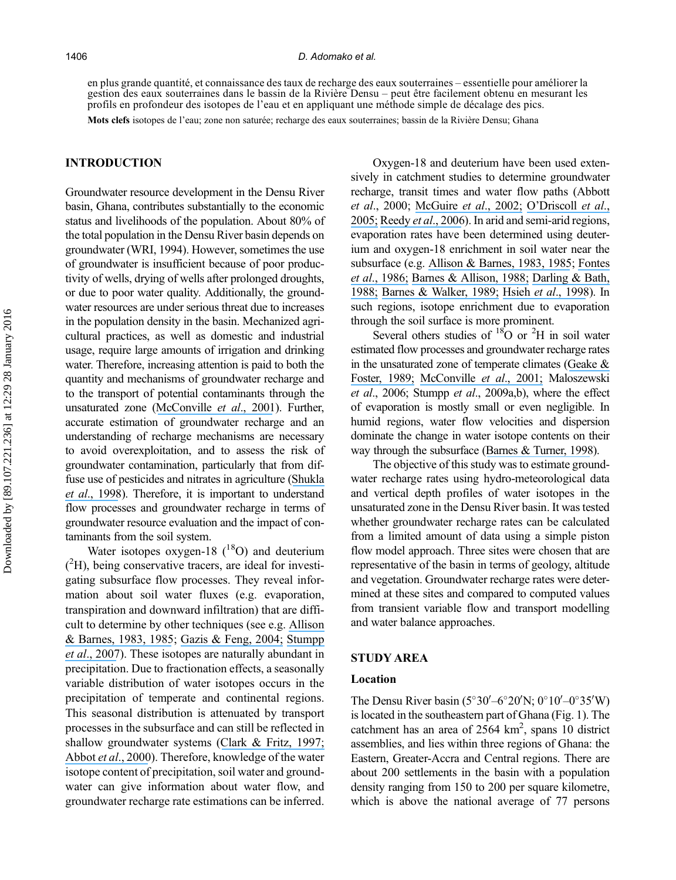#### 1406 D. Adomako et al.

en plus grande quantité, et connaissance des taux de recharge des eaux souterraines – essentielle pour améliorer la gestion des eaux souterraines dans le bassin de la Rivière Densu – peut être facilement obtenu en mesurant les profils en profondeur des isotopes de l'eau et en appliquant une méthode simple de décalage des pics.

Mots clefs isotopes de l'eau; zone non saturée; recharge des eaux souterraines; bassin de la Rivière Densu; Ghana

# INTRODUCTION

Groundwater resource development in the Densu River basin, Ghana, contributes substantially to the economic status and livelihoods of the population. About 80% of the total population in the Densu River basin depends on groundwater (WRI, 1994). However, sometimes the use of groundwater is insufficient because of poor productivity of wells, drying of wells after prolonged droughts, or due to poor water quality. Additionally, the groundwater resources are under serious threat due to increases in the population density in the basin. Mechanized agricultural practices, as well as domestic and industrial usage, require large amounts of irrigation and drinking water. Therefore, increasing attention is paid to both the quantity and mechanisms of groundwater recharge and to the transport of potential contaminants through the unsaturated zone ([McConville](https://www.researchgate.net/publication/11893414_Evaluation_of_Recharge_in_a_Small_Temperate_Catchment_Using_Natural_and_Applied_d18O_Profiles_in_the_Unsaturated_Zone?el=1_x_8&enrichId=rgreq-f515edda2a0432e5526d3229e8ae0b30-XXX&enrichSource=Y292ZXJQYWdlOzIzMzAzNjE3NjtBUzozNDA5NDU2NDA5MzU0MzBAMTQ1ODI5OTE4NDAwMg==) et al., 2001). Further, accurate estimation of groundwater recharge and an understanding of recharge mechanisms are necessary to avoid overexploitation, and to assess the risk of groundwater contamination, particularly that from diffuse use of pesticides and nitrates in agriculture ([Shukla](https://www.researchgate.net/publication/227826674_A_GIS-Based_Modeling_Approach_for_Evaluating_Groundwater_Vulnerability_to_Pesticides?el=1_x_8&enrichId=rgreq-f515edda2a0432e5526d3229e8ae0b30-XXX&enrichSource=Y292ZXJQYWdlOzIzMzAzNjE3NjtBUzozNDA5NDU2NDA5MzU0MzBAMTQ1ODI5OTE4NDAwMg==) et al[., 1998](https://www.researchgate.net/publication/227826674_A_GIS-Based_Modeling_Approach_for_Evaluating_Groundwater_Vulnerability_to_Pesticides?el=1_x_8&enrichId=rgreq-f515edda2a0432e5526d3229e8ae0b30-XXX&enrichSource=Y292ZXJQYWdlOzIzMzAzNjE3NjtBUzozNDA5NDU2NDA5MzU0MzBAMTQ1ODI5OTE4NDAwMg==)). Therefore, it is important to understand flow processes and groundwater recharge in terms of groundwater resource evaluation and the impact of contaminants from the soil system.

Water isotopes oxygen-18  $(^{18}O)$  and deuterium ( 2 H), being conservative tracers, are ideal for investigating subsurface flow processes. They reveal information about soil water fluxes (e.g. evaporation, transpiration and downward infiltration) that are difficult to determine by other techniques (see e.g. [Allison](https://www.researchgate.net/publication/232763653_Estimation_of_evaporation_from_non-vegetated_surfaces_using_natural_deuterium?el=1_x_8&enrichId=rgreq-f515edda2a0432e5526d3229e8ae0b30-XXX&enrichSource=Y292ZXJQYWdlOzIzMzAzNjE3NjtBUzozNDA5NDU2NDA5MzU0MzBAMTQ1ODI5OTE4NDAwMg==) [& Barnes, 1983](https://www.researchgate.net/publication/232763653_Estimation_of_evaporation_from_non-vegetated_surfaces_using_natural_deuterium?el=1_x_8&enrichId=rgreq-f515edda2a0432e5526d3229e8ae0b30-XXX&enrichSource=Y292ZXJQYWdlOzIzMzAzNjE3NjtBUzozNDA5NDU2NDA5MzU0MzBAMTQ1ODI5OTE4NDAwMg==)[, 1985](https://www.researchgate.net/publication/245098855_Estimation_of_evaporation_from_the_normally_dry); [Gazis & Feng, 2004;](https://www.researchgate.net/publication/223319434_A_stable_isotope_study_of_soil_water_Evidence_for_mixing_and_preferential_flow_paths?el=1_x_8&enrichId=rgreq-f515edda2a0432e5526d3229e8ae0b30-XXX&enrichSource=Y292ZXJQYWdlOzIzMzAzNjE3NjtBUzozNDA5NDU2NDA5MzU0MzBAMTQ1ODI5OTE4NDAwMg==) [Stumpp](https://www.researchgate.net/publication/233169738_Quantification_of_the_heterogeneity_of_the_unsaturated_zone_based_on_environmental_deuterium_observed_in_lysimeter_experiments?el=1_x_8&enrichId=rgreq-f515edda2a0432e5526d3229e8ae0b30-XXX&enrichSource=Y292ZXJQYWdlOzIzMzAzNjE3NjtBUzozNDA5NDU2NDA5MzU0MzBAMTQ1ODI5OTE4NDAwMg==) et al[., 2007](https://www.researchgate.net/publication/233169738_Quantification_of_the_heterogeneity_of_the_unsaturated_zone_based_on_environmental_deuterium_observed_in_lysimeter_experiments?el=1_x_8&enrichId=rgreq-f515edda2a0432e5526d3229e8ae0b30-XXX&enrichSource=Y292ZXJQYWdlOzIzMzAzNjE3NjtBUzozNDA5NDU2NDA5MzU0MzBAMTQ1ODI5OTE4NDAwMg==)). These isotopes are naturally abundant in precipitation. Due to fractionation effects, a seasonally variable distribution of water isotopes occurs in the precipitation of temperate and continental regions. This seasonal distribution is attenuated by transport processes in the subsurface and can still be reflected in shallow groundwater systems ([Clark & Fritz, 1997;](https://www.researchgate.net/publication/201996750_Environmental_Isotopes_in_Hydrology?el=1_x_8&enrichId=rgreq-f515edda2a0432e5526d3229e8ae0b30-XXX&enrichSource=Y292ZXJQYWdlOzIzMzAzNjE3NjtBUzozNDA5NDU2NDA5MzU0MzBAMTQ1ODI5OTE4NDAwMg==) [Abbot](https://www.researchgate.net/publication/223856905_d18O_dD_and_3H_measurements_constrain_groundwater_recharge_patterns_in_an_upland_fractured_bedrock_aquifer_Vermont_USA?el=1_x_8&enrichId=rgreq-f515edda2a0432e5526d3229e8ae0b30-XXX&enrichSource=Y292ZXJQYWdlOzIzMzAzNjE3NjtBUzozNDA5NDU2NDA5MzU0MzBAMTQ1ODI5OTE4NDAwMg==) et al., 2000). Therefore, knowledge of the water isotope content of precipitation, soil water and groundwater can give information about water flow, and groundwater recharge rate estimations can be inferred.

Oxygen-18 and deuterium have been used extensively in catchment studies to determine groundwater recharge, transit times and water flow paths (Abbott et al., 2000; [McGuire](https://www.researchgate.net/publication/222046469_Evaluation_of_mean_residence_time_in_subsurface_waters_using_oxygen-18_fluctuations_during_drought_conditions_in_the_mid-Appalachians?el=1_x_8&enrichId=rgreq-f515edda2a0432e5526d3229e8ae0b30-XXX&enrichSource=Y292ZXJQYWdlOzIzMzAzNjE3NjtBUzozNDA5NDU2NDA5MzU0MzBAMTQ1ODI5OTE4NDAwMg==) et al., 2002; O'[Driscoll](https://www.researchgate.net/publication/222395863_Seasonal_18O_variations_and_groundwater_recharge_for_three_landscape_types_in_central_Pennsylvania_USA?el=1_x_8&enrichId=rgreq-f515edda2a0432e5526d3229e8ae0b30-XXX&enrichSource=Y292ZXJQYWdlOzIzMzAzNjE3NjtBUzozNDA5NDU2NDA5MzU0MzBAMTQ1ODI5OTE4NDAwMg==) et al., [2005;](https://www.researchgate.net/publication/222395863_Seasonal_18O_variations_and_groundwater_recharge_for_three_landscape_types_in_central_Pennsylvania_USA?el=1_x_8&enrichId=rgreq-f515edda2a0432e5526d3229e8ae0b30-XXX&enrichSource=Y292ZXJQYWdlOzIzMzAzNjE3NjtBUzozNDA5NDU2NDA5MzU0MzBAMTQ1ODI5OTE4NDAwMg==) [Reedy](https://www.researchgate.net/publication/229960138_Characterization_of_surface_and_ground_water_d18O_seasonal_variation_and_its_use_for_estimating_groundwater_residence_times?el=1_x_8&enrichId=rgreq-f515edda2a0432e5526d3229e8ae0b30-XXX&enrichSource=Y292ZXJQYWdlOzIzMzAzNjE3NjtBUzozNDA5NDU2NDA5MzU0MzBAMTQ1ODI5OTE4NDAwMg==) et al., 2006). In arid and semi-arid regions, evaporation rates have been determined using deuterium and oxygen-18 enrichment in soil water near the subsurface (e.g. [Allison & Barnes, 1983](https://www.researchgate.net/publication/232763653_Estimation_of_evaporation_from_non-vegetated_surfaces_using_natural_deuterium?el=1_x_8&enrichId=rgreq-f515edda2a0432e5526d3229e8ae0b30-XXX&enrichSource=Y292ZXJQYWdlOzIzMzAzNjE3NjtBUzozNDA5NDU2NDA5MzU0MzBAMTQ1ODI5OTE4NDAwMg==)[, 1985](https://www.researchgate.net/publication/245098855_Estimation_of_evaporation_from_the_normally_dry); [Fontes](https://www.researchgate.net/publication/222747978_Estimation_of_long-term_diffuse_groundwater_discharge_in_the_northern_Sahara_using_stable_isotope_profiles_in_soil_water?el=1_x_8&enrichId=rgreq-f515edda2a0432e5526d3229e8ae0b30-XXX&enrichSource=Y292ZXJQYWdlOzIzMzAzNjE3NjtBUzozNDA5NDU2NDA5MzU0MzBAMTQ1ODI5OTE4NDAwMg==) et al[., 1986;](https://www.researchgate.net/publication/222747978_Estimation_of_long-term_diffuse_groundwater_discharge_in_the_northern_Sahara_using_stable_isotope_profiles_in_soil_water?el=1_x_8&enrichId=rgreq-f515edda2a0432e5526d3229e8ae0b30-XXX&enrichSource=Y292ZXJQYWdlOzIzMzAzNjE3NjtBUzozNDA5NDU2NDA5MzU0MzBAMTQ1ODI5OTE4NDAwMg==) [Barnes & Allison, 1988;](https://www.researchgate.net/publication/222375122_Tracing_of_water_movement_in_the_unsaturated_zone_using_stable_isotopes_of_hydrogen_and_oxygen?el=1_x_8&enrichId=rgreq-f515edda2a0432e5526d3229e8ae0b30-XXX&enrichSource=Y292ZXJQYWdlOzIzMzAzNjE3NjtBUzozNDA5NDU2NDA5MzU0MzBAMTQ1ODI5OTE4NDAwMg==) [Darling & Bath,](https://www.researchgate.net/publication/238168154_A_stable_isotope_study_of_recharge_processes_in_the_English_Chalk?el=1_x_8&enrichId=rgreq-f515edda2a0432e5526d3229e8ae0b30-XXX&enrichSource=Y292ZXJQYWdlOzIzMzAzNjE3NjtBUzozNDA5NDU2NDA5MzU0MzBAMTQ1ODI5OTE4NDAwMg==) [1988;](https://www.researchgate.net/publication/238168154_A_stable_isotope_study_of_recharge_processes_in_the_English_Chalk?el=1_x_8&enrichId=rgreq-f515edda2a0432e5526d3229e8ae0b30-XXX&enrichSource=Y292ZXJQYWdlOzIzMzAzNjE3NjtBUzozNDA5NDU2NDA5MzU0MzBAMTQ1ODI5OTE4NDAwMg==) [Barnes & Walker, 1989;](https://www.researchgate.net/publication/239351472_The_distribution_of_deuterium_and_oxygen-18_during_unsteady_evaporation_from_a_dry_soil?el=1_x_8&enrichId=rgreq-f515edda2a0432e5526d3229e8ae0b30-XXX&enrichSource=Y292ZXJQYWdlOzIzMzAzNjE3NjtBUzozNDA5NDU2NDA5MzU0MzBAMTQ1ODI5OTE4NDAwMg==) Hsieh et al[., 1998](https://www.researchgate.net/publication/229406618_Oxygen_isotopic_composition_of_soil_water_Quantifying_evaporation_and_transpiration?el=1_x_8&enrichId=rgreq-f515edda2a0432e5526d3229e8ae0b30-XXX&enrichSource=Y292ZXJQYWdlOzIzMzAzNjE3NjtBUzozNDA5NDU2NDA5MzU0MzBAMTQ1ODI5OTE4NDAwMg==)). In such regions, isotope enrichment due to evaporation through the soil surface is more prominent.

Several others studies of  $18$ O or  $2$ H in soil water estimated flow processes and groundwater recharge rates in the unsaturated zone of temperate climates ([Geake &](https://www.researchgate.net/publication/240616094_Sequential_isotope_and_solute_profiling_in_the_unsaturated_zone_of_British_Chalk?el=1_x_8&enrichId=rgreq-f515edda2a0432e5526d3229e8ae0b30-XXX&enrichSource=Y292ZXJQYWdlOzIzMzAzNjE3NjtBUzozNDA5NDU2NDA5MzU0MzBAMTQ1ODI5OTE4NDAwMg==) [Foster, 1989;](https://www.researchgate.net/publication/240616094_Sequential_isotope_and_solute_profiling_in_the_unsaturated_zone_of_British_Chalk?el=1_x_8&enrichId=rgreq-f515edda2a0432e5526d3229e8ae0b30-XXX&enrichSource=Y292ZXJQYWdlOzIzMzAzNjE3NjtBUzozNDA5NDU2NDA5MzU0MzBAMTQ1ODI5OTE4NDAwMg==) [McConville](https://www.researchgate.net/publication/11893414_Evaluation_of_Recharge_in_a_Small_Temperate_Catchment_Using_Natural_and_Applied_d18O_Profiles_in_the_Unsaturated_Zone?el=1_x_8&enrichId=rgreq-f515edda2a0432e5526d3229e8ae0b30-XXX&enrichSource=Y292ZXJQYWdlOzIzMzAzNjE3NjtBUzozNDA5NDU2NDA5MzU0MzBAMTQ1ODI5OTE4NDAwMg==) et al., 2001; Maloszewski et al., 2006; Stumpp et al., 2009a,b), where the effect of evaporation is mostly small or even negligible. In humid regions, water flow velocities and dispersion dominate the change in water isotope contents on their way through the subsurface ([Barnes & Turner, 1998](https://www.researchgate.net/publication/259577162_Isotopic_exchange_effects_in_soil_water?el=1_x_8&enrichId=rgreq-f515edda2a0432e5526d3229e8ae0b30-XXX&enrichSource=Y292ZXJQYWdlOzIzMzAzNjE3NjtBUzozNDA5NDU2NDA5MzU0MzBAMTQ1ODI5OTE4NDAwMg==)).

The objective of this study was to estimate groundwater recharge rates using hydro-meteorological data and vertical depth profiles of water isotopes in the unsaturated zone in the Densu River basin. It was tested whether groundwater recharge rates can be calculated from a limited amount of data using a simple piston flow model approach. Three sites were chosen that are representative of the basin in terms of geology, altitude and vegetation. Groundwater recharge rates were determined at these sites and compared to computed values from transient variable flow and transport modelling and water balance approaches.

#### STUDY AREA

#### Location

The Densu River basin  $(5^{\circ}30' - 6^{\circ}20'N; 0^{\circ}10' - 0^{\circ}35'W)$ is located in the southeastern part of Ghana (Fig. 1). The catchment has an area of  $2564 \text{ km}^2$ , spans 10 district assemblies, and lies within three regions of Ghana: the Eastern, Greater-Accra and Central regions. There are about 200 settlements in the basin with a population density ranging from 150 to 200 per square kilometre, which is above the national average of 77 persons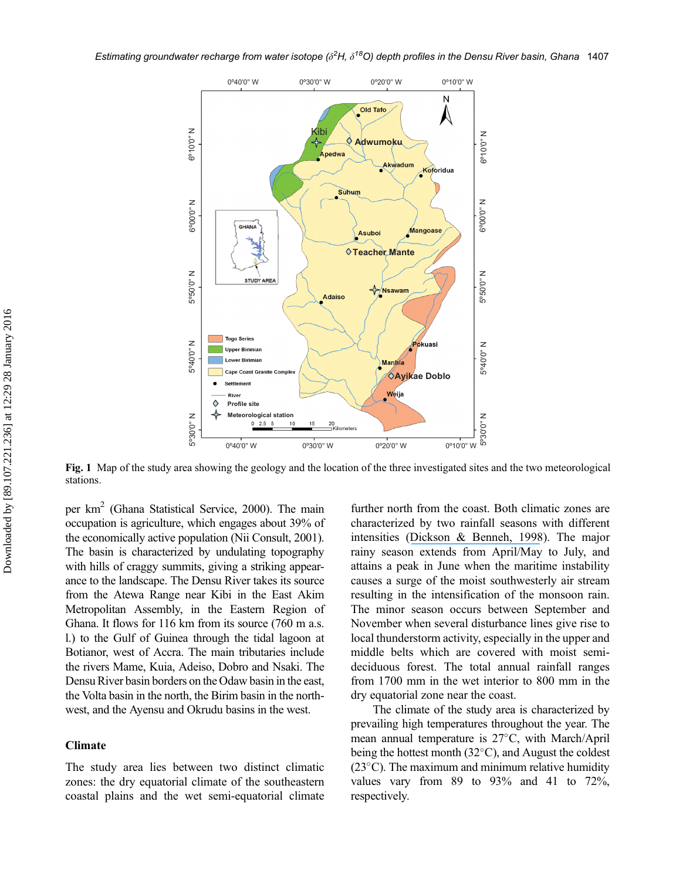

Fig. 1 Map of the study area showing the geology and the location of the three investigated sites and the two meteorological stations.

per km2 (Ghana Statistical Service, 2000). The main occupation is agriculture, which engages about 39% of the economically active population (Nii Consult, 2001). The basin is characterized by undulating topography with hills of craggy summits, giving a striking appearance to the landscape. The Densu River takes its source from the Atewa Range near Kibi in the East Akim Metropolitan Assembly, in the Eastern Region of Ghana. It flows for 116 km from its source (760 m a.s. l.) to the Gulf of Guinea through the tidal lagoon at Botianor, west of Accra. The main tributaries include the rivers Mame, Kuia, Adeiso, Dobro and Nsaki. The Densu River basin borders on the Odaw basin in the east, the Volta basin in the north, the Birim basin in the northwest, and the Ayensu and Okrudu basins in the west.

# Climate

The study area lies between two distinct climatic zones: the dry equatorial climate of the southeastern coastal plains and the wet semi-equatorial climate further north from the coast. Both climatic zones are characterized by two rainfall seasons with different intensities ([Dickson & Benneh, 1998](https://www.researchgate.net/publication/275882880_Geography_of_Ghana?el=1_x_8&enrichId=rgreq-f515edda2a0432e5526d3229e8ae0b30-XXX&enrichSource=Y292ZXJQYWdlOzIzMzAzNjE3NjtBUzozNDA5NDU2NDA5MzU0MzBAMTQ1ODI5OTE4NDAwMg==)). The major rainy season extends from April/May to July, and attains a peak in June when the maritime instability causes a surge of the moist southwesterly air stream resulting in the intensification of the monsoon rain. The minor season occurs between September and November when several disturbance lines give rise to local thunderstorm activity, especially in the upper and middle belts which are covered with moist semideciduous forest. The total annual rainfall ranges from 1700 mm in the wet interior to 800 mm in the dry equatorial zone near the coast.

The climate of the study area is characterized by prevailing high temperatures throughout the year. The mean annual temperature is  $27^{\circ}$ C, with March/April being the hottest month  $(32^{\circ}C)$ , and August the coldest  $(23^{\circ}C)$ . The maximum and minimum relative humidity values vary from  $89$  to  $93\%$  and  $41$  to  $72\%$ , respectively.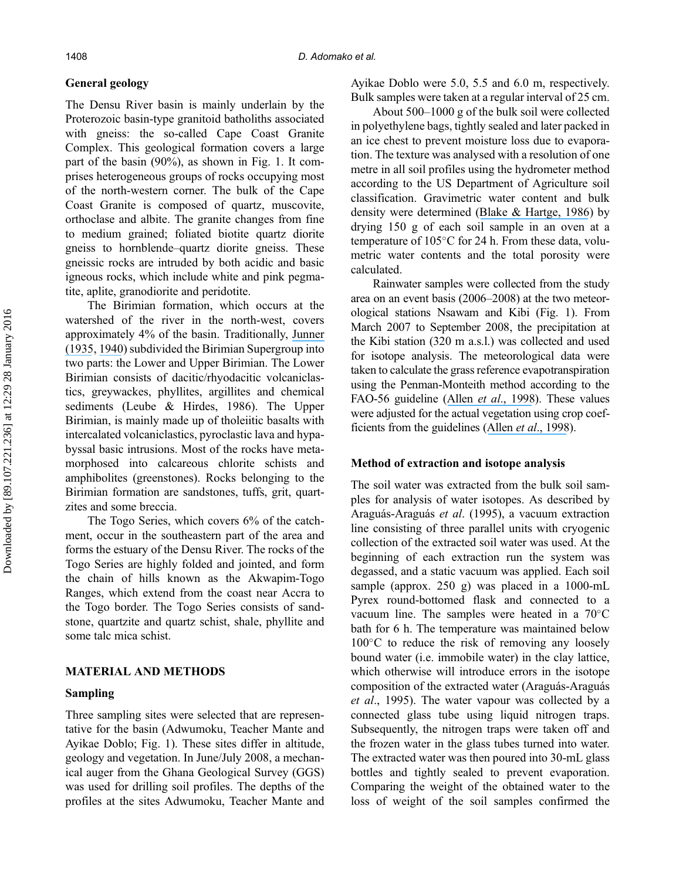## General geology

The Densu River basin is mainly underlain by the Proterozoic basin-type granitoid batholiths associated with gneiss: the so-called Cape Coast Granite Complex. This geological formation covers a large part of the basin (90%), as shown in Fig. 1. It comprises heterogeneous groups of rocks occupying most of the north-western corner. The bulk of the Cape Coast Granite is composed of quartz, muscovite, orthoclase and albite. The granite changes from fine to medium grained; foliated biotite quartz diorite gneiss to hornblende–quartz diorite gneiss. These gneissic rocks are intruded by both acidic and basic igneous rocks, which include white and pink pegmatite, aplite, granodiorite and peridotite.

The Birimian formation, which occurs at the watershed of the river in the north-west, covers approximately 4% of the basin. Traditionally, [Junner](https://www.researchgate.net/publication/286016729_Gold_in_the_Gold_Coast?el=1_x_8&enrichId=rgreq-f515edda2a0432e5526d3229e8ae0b30-XXX&enrichSource=Y292ZXJQYWdlOzIzMzAzNjE3NjtBUzozNDA5NDU2NDA5MzU0MzBAMTQ1ODI5OTE4NDAwMg==) [\(1935](https://www.researchgate.net/publication/286016729_Gold_in_the_Gold_Coast?el=1_x_8&enrichId=rgreq-f515edda2a0432e5526d3229e8ae0b30-XXX&enrichSource=Y292ZXJQYWdlOzIzMzAzNjE3NjtBUzozNDA5NDU2NDA5MzU0MzBAMTQ1ODI5OTE4NDAwMg==), [1940](https://www.researchgate.net/publication/283688539_Geology_of_the_Gold_Coast_and_Western_Togoland_with_revised_geological_map?el=1_x_8&enrichId=rgreq-f515edda2a0432e5526d3229e8ae0b30-XXX&enrichSource=Y292ZXJQYWdlOzIzMzAzNjE3NjtBUzozNDA5NDU2NDA5MzU0MzBAMTQ1ODI5OTE4NDAwMg==)) subdivided the Birimian Supergroup into two parts: the Lower and Upper Birimian. The Lower Birimian consists of dacitic/rhyodacitic volcaniclastics, greywackes, phyllites, argillites and chemical sediments (Leube & Hirdes, 1986). The Upper Birimian, is mainly made up of tholeiitic basalts with intercalated volcaniclastics, pyroclastic lava and hypabyssal basic intrusions. Most of the rocks have metamorphosed into calcareous chlorite schists and amphibolites (greenstones). Rocks belonging to the Birimian formation are sandstones, tuffs, grit, quartzites and some breccia.

The Togo Series, which covers 6% of the catchment, occur in the southeastern part of the area and forms the estuary of the Densu River. The rocks of the Togo Series are highly folded and jointed, and form the chain of hills known as the Akwapim-Togo Ranges, which extend from the coast near Accra to the Togo border. The Togo Series consists of sandstone, quartzite and quartz schist, shale, phyllite and some talc mica schist.

# MATERIAL AND METHODS

### Sampling

Three sampling sites were selected that are representative for the basin (Adwumoku, Teacher Mante and Ayikae Doblo; Fig. 1). These sites differ in altitude, geology and vegetation. In June/July 2008, a mechanical auger from the Ghana Geological Survey (GGS) was used for drilling soil profiles. The depths of the profiles at the sites Adwumoku, Teacher Mante and Ayikae Doblo were 5.0, 5.5 and 6.0 m, respectively. Bulk samples were taken at a regular interval of 25 cm.

About 500–1000 g of the bulk soil were collected in polyethylene bags, tightly sealed and later packed in an ice chest to prevent moisture loss due to evaporation. The texture was analysed with a resolution of one metre in all soil profiles using the hydrometer method according to the US Department of Agriculture soil classification. Gravimetric water content and bulk density were determined ([Blake & Hartge, 1986](https://www.researchgate.net/publication/290796980_Particle_density_in_methods_of_soil_analysis?el=1_x_8&enrichId=rgreq-f515edda2a0432e5526d3229e8ae0b30-XXX&enrichSource=Y292ZXJQYWdlOzIzMzAzNjE3NjtBUzozNDA5NDU2NDA5MzU0MzBAMTQ1ODI5OTE4NDAwMg==)) by drying 150 g of each soil sample in an oven at a temperature of  $105^{\circ}$ C for 24 h. From these data, volumetric water contents and the total porosity were calculated.

Rainwater samples were collected from the study area on an event basis (2006–2008) at the two meteorological stations Nsawam and Kibi (Fig. 1). From March 2007 to September 2008, the precipitation at the Kibi station (320 m a.s.l.) was collected and used for isotope analysis. The meteorological data were taken to calculate the grass reference evapotranspiration using the Penman-Monteith method according to the FAO-56 guideline (Allen et al[., 1998](https://www.researchgate.net/publication/200041957_Crop_Evapotranspiration_Guidelines_for_Computing_Crop_Water_Requirements?el=1_x_8&enrichId=rgreq-f515edda2a0432e5526d3229e8ae0b30-XXX&enrichSource=Y292ZXJQYWdlOzIzMzAzNjE3NjtBUzozNDA5NDU2NDA5MzU0MzBAMTQ1ODI5OTE4NDAwMg==)). These values were adjusted for the actual vegetation using crop coefficients from the guidelines (Allen *et al.*, 1998).

#### Method of extraction and isotope analysis

The soil water was extracted from the bulk soil samples for analysis of water isotopes. As described by Araguás-Araguás et al. (1995), a vacuum extraction line consisting of three parallel units with cryogenic collection of the extracted soil water was used. At the beginning of each extraction run the system was degassed, and a static vacuum was applied. Each soil sample (approx. 250 g) was placed in a 1000-mL Pyrex round-bottomed flask and connected to a vacuum line. The samples were heated in a  $70^{\circ}$ C bath for 6 h. The temperature was maintained below  $100^{\circ}$ C to reduce the risk of removing any loosely bound water (i.e. immobile water) in the clay lattice, which otherwise will introduce errors in the isotope composition of the extracted water (Araguás-Araguás et al., 1995). The water vapour was collected by a connected glass tube using liquid nitrogen traps. Subsequently, the nitrogen traps were taken off and the frozen water in the glass tubes turned into water. The extracted water was then poured into 30-mL glass bottles and tightly sealed to prevent evaporation. Comparing the weight of the obtained water to the loss of weight of the soil samples confirmed the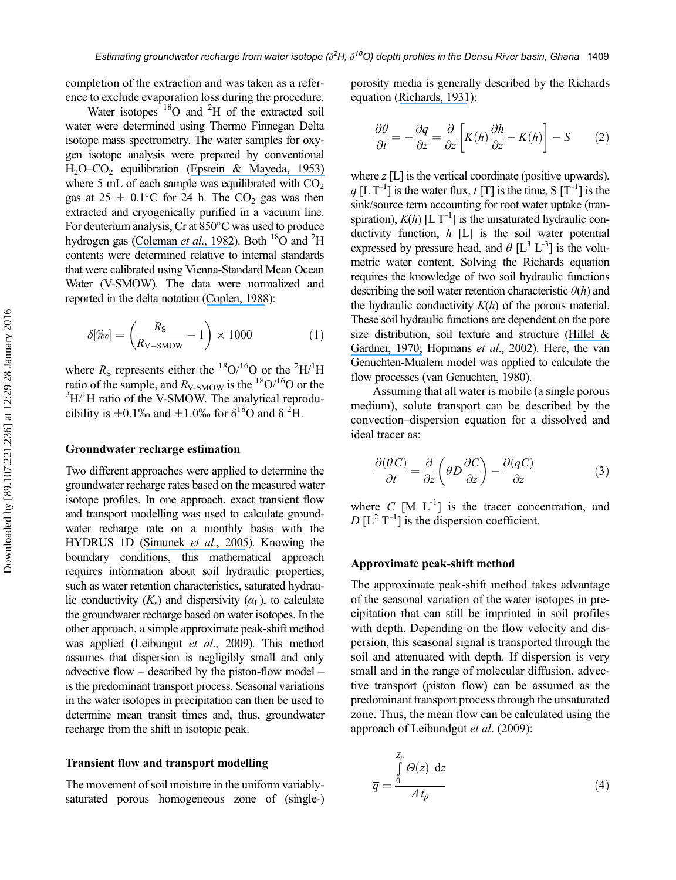completion of the extraction and was taken as a reference to exclude evaporation loss during the procedure.

Water isotopes  $18$ O and  $2$ H of the extracted soil water were determined using Thermo Finnegan Delta isotope mass spectrometry. The water samples for oxygen isotope analysis were prepared by conventional H2O–CO2 equilibration ([Epstein & Mayeda, 1953\)](https://www.researchgate.net/publication/223638679_Variation_of_O18_Content_of_Waters_From_Natural_Sources?el=1_x_8&enrichId=rgreq-f515edda2a0432e5526d3229e8ae0b30-XXX&enrichSource=Y292ZXJQYWdlOzIzMzAzNjE3NjtBUzozNDA5NDU2NDA5MzU0MzBAMTQ1ODI5OTE4NDAwMg==) where 5 mL of each sample was equilibrated with  $CO<sub>2</sub>$ gas at  $25 \pm 0.1^{\circ}\text{C}$  for 24 h. The CO<sub>2</sub> gas was then extracted and cryogenically purified in a vacuum line. For deuterium analysis, Cr at  $850^{\circ}$ C was used to produce hydrogen gas ([Coleman](https://www.researchgate.net/publication/231174645_Reduction_of_water_with_zinc_for_hydrogen_isotope_analysis?el=1_x_8&enrichId=rgreq-f515edda2a0432e5526d3229e8ae0b30-XXX&enrichSource=Y292ZXJQYWdlOzIzMzAzNjE3NjtBUzozNDA5NDU2NDA5MzU0MzBAMTQ1ODI5OTE4NDAwMg==) *et al.*, 1982). Both  $^{18}O$  and <sup>2</sup>H contents were determined relative to internal standards that were calibrated using Vienna-Standard Mean Ocean Water (V-SMOW). The data were normalized and reported in the delta notation ([Coplen, 1988](https://www.researchgate.net/publication/250749594_Normalization_of_Oxygen_and_Hydrogen_Isotope_Data?el=1_x_8&enrichId=rgreq-f515edda2a0432e5526d3229e8ae0b30-XXX&enrichSource=Y292ZXJQYWdlOzIzMzAzNjE3NjtBUzozNDA5NDU2NDA5MzU0MzBAMTQ1ODI5OTE4NDAwMg==)):

$$
\delta[\%e] = \left(\frac{R_{\rm S}}{R_{\rm V-SMOW}} - 1\right) \times 1000\tag{1}
$$

where  $R_s$  represents either the <sup>18</sup>O/<sup>16</sup>O or the <sup>2</sup>H/<sup>1</sup>H ratio of the sample, and  $R_{V-SMOW}$  is the <sup>18</sup>O/<sup>16</sup>O or the  ${}^{2}$ H/<sup>1</sup>H ratio of the V-SMOW. The analytical reproducibility is  $\pm 0.1\%$  and  $\pm 1.0\%$  for  $\delta^{18}O$  and  $\delta^{2}H$ .

#### Groundwater recharge estimation

Two different approaches were applied to determine the groundwater recharge rates based on the measured water isotope profiles. In one approach, exact transient flow and transport modelling was used to calculate groundwater recharge rate on a monthly basis with the HYDRUS 1D ([Simunek](https://www.researchgate.net/publication/271515313_The_HYDRUS-1D_Software_Package_for_Simulating_the_One-Dimensional_Movement_of_Water_Heat_and_Multiple_Solutes_in_Variably-Saturated_Media?el=1_x_8&enrichId=rgreq-f515edda2a0432e5526d3229e8ae0b30-XXX&enrichSource=Y292ZXJQYWdlOzIzMzAzNjE3NjtBUzozNDA5NDU2NDA5MzU0MzBAMTQ1ODI5OTE4NDAwMg==) et al., 2005). Knowing the boundary conditions, this mathematical approach requires information about soil hydraulic properties, such as water retention characteristics, saturated hydraulic conductivity  $(K_s)$  and dispersivity  $(\alpha_L)$ , to calculate the groundwater recharge based on water isotopes. In the other approach, a simple approximate peak-shift method was applied (Leibungut et al., 2009). This method assumes that dispersion is negligibly small and only advective flow – described by the piston-flow model – is the predominant transport process. Seasonal variations in the water isotopes in precipitation can then be used to determine mean transit times and, thus, groundwater recharge from the shift in isotopic peak.

#### Transient flow and transport modelling

The movement of soil moisture in the uniform variablysaturated porous homogeneous zone of (single-) porosity media is generally described by the Richards equation ([Richards, 1931](https://www.researchgate.net/publication/248828358_Capillary_conduction_through_porous_mediums?el=1_x_8&enrichId=rgreq-f515edda2a0432e5526d3229e8ae0b30-XXX&enrichSource=Y292ZXJQYWdlOzIzMzAzNjE3NjtBUzozNDA5NDU2NDA5MzU0MzBAMTQ1ODI5OTE4NDAwMg==)):

$$
\frac{\partial \theta}{\partial t} = -\frac{\partial q}{\partial z} = \frac{\partial}{\partial z} \left[ K(h) \frac{\partial h}{\partial z} - K(h) \right] - S \qquad (2)
$$

where  $z$  [L] is the vertical coordinate (positive upwards), q [L T<sup>-1</sup>] is the water flux, t [T] is the time, S [T<sup>-1</sup>] is the sink/source term accounting for root water uptake (transpiration),  $K(h)$  [L T<sup>-1</sup>] is the unsaturated hydraulic conductivity function,  $h$  [L] is the soil water potential expressed by pressure head, and  $\theta$  [L<sup>3</sup> L<sup>-3</sup>] is the volumetric water content. Solving the Richards equation requires the knowledge of two soil hydraulic functions describing the soil water retention characteristic  $\theta(h)$  and the hydraulic conductivity  $K(h)$  of the porous material. These soil hydraulic functions are dependent on the pore size distribution, soil texture and structure ([Hillel &](https://www.researchgate.net/publication/249344078_Measurement_of_unsaturated_conductivity_and_diffusivity_by_infiltration_through_an_impeding_layer?el=1_x_8&enrichId=rgreq-f515edda2a0432e5526d3229e8ae0b30-XXX&enrichSource=Y292ZXJQYWdlOzIzMzAzNjE3NjtBUzozNDA5NDU2NDA5MzU0MzBAMTQ1ODI5OTE4NDAwMg==) [Gardner, 1970;](https://www.researchgate.net/publication/249344078_Measurement_of_unsaturated_conductivity_and_diffusivity_by_infiltration_through_an_impeding_layer?el=1_x_8&enrichId=rgreq-f515edda2a0432e5526d3229e8ae0b30-XXX&enrichSource=Y292ZXJQYWdlOzIzMzAzNjE3NjtBUzozNDA5NDU2NDA5MzU0MzBAMTQ1ODI5OTE4NDAwMg==) Hopmans et al., 2002). Here, the van Genuchten-Mualem model was applied to calculate the flow processes (van Genuchten, 1980).

Assuming that all water is mobile (a single porous medium), solute transport can be described by the convection–dispersion equation for a dissolved and ideal tracer as:

$$
\frac{\partial(\theta C)}{\partial t} = \frac{\partial}{\partial z} \left( \theta D \frac{\partial C}{\partial z} \right) - \frac{\partial (qC)}{\partial z} \tag{3}
$$

where  $C$  [M  $L^{-1}$ ] is the tracer concentration, and  $D [L^2 T^{-1}]$  is the dispersion coefficient.

#### Approximate peak-shift method

The approximate peak-shift method takes advantage of the seasonal variation of the water isotopes in precipitation that can still be imprinted in soil profiles with depth. Depending on the flow velocity and dispersion, this seasonal signal is transported through the soil and attenuated with depth. If dispersion is very small and in the range of molecular diffusion, advective transport (piston flow) can be assumed as the predominant transport process through the unsaturated zone. Thus, the mean flow can be calculated using the approach of Leibundgut et al. (2009):

$$
\overline{q} = \frac{\int_{0}^{Z_p} \Theta(z) dz}{\Delta t_p}
$$
 (4)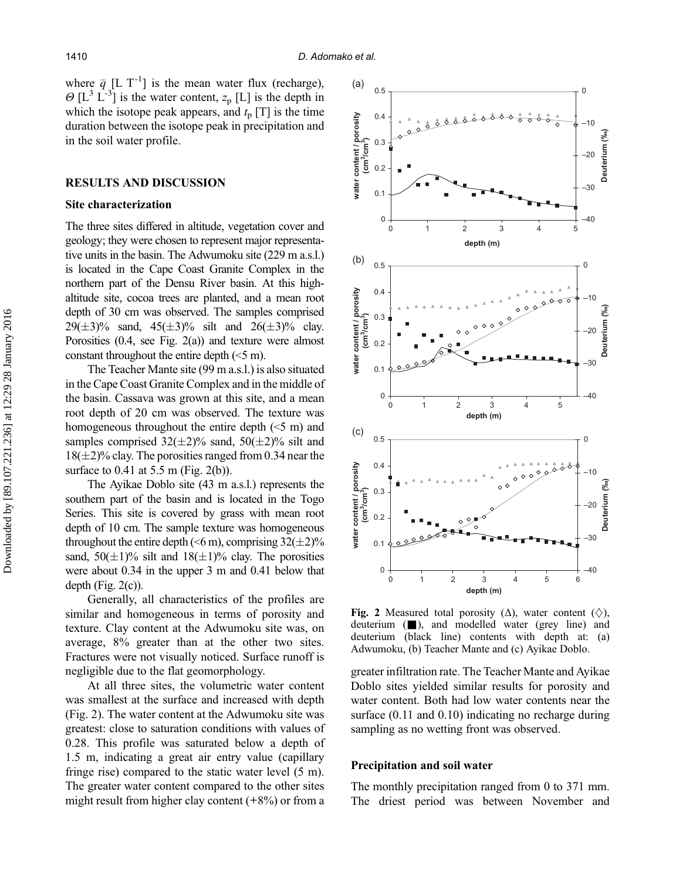where  $\bar{q}$  [L T<sup>-1</sup>] is the mean water flux (recharge),  $\Theta$  [L<sup>3</sup> L<sup>-3</sup>] is the water content,  $z_p$  [L] is the depth in which the isotope peak appears, and  $t_p$  [T] is the time duration between the isotope peak in precipitation and in the soil water profile.

#### RESULTS AND DISCUSSION

### Site characterization

The three sites differed in altitude, vegetation cover and geology; they were chosen to represent major representative units in the basin. The Adwumoku site (229 m a.s.l.) is located in the Cape Coast Granite Complex in the northern part of the Densu River basin. At this highaltitude site, cocoa trees are planted, and a mean root depth of 30 cm was observed. The samples comprised  $29(\pm 3)\%$  sand,  $45(\pm 3)\%$  silt and  $26(\pm 3)\%$  clay. Porosities (0.4, see Fig. 2(a)) and texture were almost constant throughout the entire depth (<5 m).

The Teacher Mante site (99 m a.s.l.) is also situated in the Cape Coast Granite Complex and in the middle of the basin. Cassava was grown at this site, and a mean root depth of 20 cm was observed. The texture was homogeneous throughout the entire depth (<5 m) and samples comprised  $32(\pm 2)\%$  sand,  $50(\pm 2)\%$  silt and  $18(\pm 2)\%$  clay. The porosities ranged from 0.34 near the surface to 0.41 at 5.5 m (Fig. 2(b)).

The Ayikae Doblo site (43 m a.s.l.) represents the southern part of the basin and is located in the Togo Series. This site is covered by grass with mean root depth of 10 cm. The sample texture was homogeneous throughout the entire depth ( $\leq 6$  m), comprising 32( $\pm$ 2)% sand,  $50(\pm1)\%$  silt and  $18(\pm1)\%$  clay. The porosities were about 0.34 in the upper 3 m and 0.41 below that depth (Fig.  $2(c)$ ).

Generally, all characteristics of the profiles are similar and homogeneous in terms of porosity and texture. Clay content at the Adwumoku site was, on average, 8% greater than at the other two sites. Fractures were not visually noticed. Surface runoff is negligible due to the flat geomorphology.

At all three sites, the volumetric water content was smallest at the surface and increased with depth (Fig. 2). The water content at the Adwumoku site was greatest: close to saturation conditions with values of 0.28. This profile was saturated below a depth of 1.5 m, indicating a great air entry value (capillary fringe rise) compared to the static water level (5 m). The greater water content compared to the other sites might result from higher clay content  $(+8%)$  or from a



Fig. 2 Measured total porosity ( $\Delta$ ), water content ( $\diamondsuit$ ), deuterium ( $\Box$ ), and modelled water (grey line) and deuterium (black line) contents with depth at: (a) Adwumoku, (b) Teacher Mante and (c) Ayikae Doblo.

greater infiltration rate. The Teacher Mante and Ayikae Doblo sites yielded similar results for porosity and water content. Both had low water contents near the surface (0.11 and 0.10) indicating no recharge during sampling as no wetting front was observed.

#### Precipitation and soil water

The monthly precipitation ranged from 0 to 371 mm. The driest period was between November and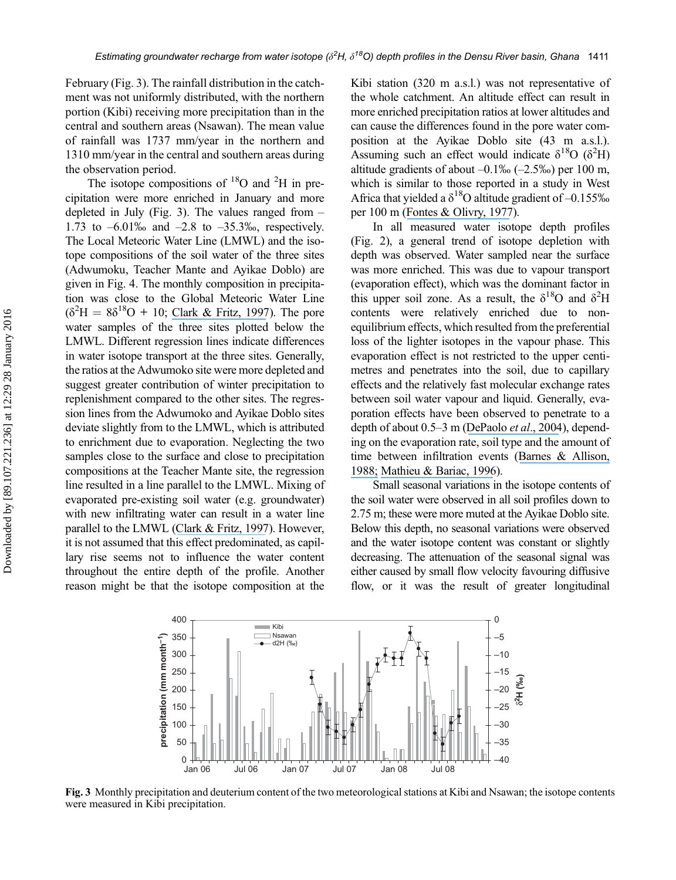February (Fig. 3). The rainfall distribution in the catchment was not uniformly distributed, with the northern portion (Kibi) receiving more precipitation than in the central and southern areas (Nsawan). The mean value of rainfall was 1737 mm/year in the northern and 1310 mm/year in the central and southern areas during the observation period.

The isotope compositions of  ${}^{18}$ O and  ${}^{2}$ H in precipitation were more enriched in January and more depleted in July (Fig. 3). The values ranged from  $-$ 1.73 to  $-6.01\%$  and  $-2.8$  to  $-35.3\%$ , respectively. The Local Meteoric Water Line (LMWL) and the isotope compositions of the soil water of the three sites (Adwumoku, Teacher Mante and Ayikae Doblo) are given in Fig. 4. The monthly composition in precipitation was close to the Global Meteoric Water Line  $(\delta^2 H = 8\delta^{18}O + 10;$  [Clark & Fritz, 1997](https://www.researchgate.net/publication/201996750_Environmental_Isotopes_in_Hydrology?el=1_x_8&enrichId=rgreq-f515edda2a0432e5526d3229e8ae0b30-XXX&enrichSource=Y292ZXJQYWdlOzIzMzAzNjE3NjtBUzozNDA5NDU2NDA5MzU0MzBAMTQ1ODI5OTE4NDAwMg==)). The pore water samples of the three sites plotted below the LMWL. Different regression lines indicate differences in water isotope transport at the three sites. Generally, the ratios at the Adwumoko site were more depleted and suggest greater contribution of winter precipitation to replenishment compared to the other sites. The regression lines from the Adwumoko and Ayikae Doblo sites deviate slightly from to the LMWL, which is attributed to enrichment due to evaporation. Neglecting the two samples close to the surface and close to precipitation compositions at the Teacher Mante site, the regression line resulted in a line parallel to the LMWL. Mixing of evaporated pre-existing soil water (e.g. groundwater) with new infiltrating water can result in a water line parallel to the LMWL ([Clark & Fritz, 1997](https://www.researchgate.net/publication/201996750_Environmental_Isotopes_in_Hydrology?el=1_x_8&enrichId=rgreq-f515edda2a0432e5526d3229e8ae0b30-XXX&enrichSource=Y292ZXJQYWdlOzIzMzAzNjE3NjtBUzozNDA5NDU2NDA5MzU0MzBAMTQ1ODI5OTE4NDAwMg==)). However, it is not assumed that this effect predominated, as capillary rise seems not to influence the water content throughout the entire depth of the profile. Another reason might be that the isotope composition at the

Kibi station (320 m a.s.l.) was not representative of the whole catchment. An altitude effect can result in more enriched precipitation ratios at lower altitudes and can cause the differences found in the pore water composition at the Ayikae Doblo site (43 m a.s.l.). Assuming such an effect would indicate  $\delta^{18}O$  ( $\delta^2H$ ) altitude gradients of about  $-0.1\%$  ( $-2.5\%$ ) per 100 m, which is similar to those reported in a study in West Africa that yielded a  $\delta^{18}$ O altitude gradient of -0.155‰ per 100 m ([Fontes & Olivry, 1977](https://www.researchgate.net/publication/32993752_Gradient_isotopique_entre_0_et_4000_m_dans_les_precipitations_du_Mont_Cameroun_Resume_de_communication?el=1_x_8&enrichId=rgreq-f515edda2a0432e5526d3229e8ae0b30-XXX&enrichSource=Y292ZXJQYWdlOzIzMzAzNjE3NjtBUzozNDA5NDU2NDA5MzU0MzBAMTQ1ODI5OTE4NDAwMg==)).

In all measured water isotope depth profiles (Fig. 2), a general trend of isotope depletion with depth was observed. Water sampled near the surface was more enriched. This was due to vapour transport (evaporation effect), which was the dominant factor in this upper soil zone. As a result, the  $\delta^{18}$ O and  $\delta^2$ H contents were relatively enriched due to nonequilibrium effects, which resulted from the preferential loss of the lighter isotopes in the vapour phase. This evaporation effect is not restricted to the upper centimetres and penetrates into the soil, due to capillary effects and the relatively fast molecular exchange rates between soil water vapour and liquid. Generally, evaporation effects have been observed to penetrate to a depth of about 0.5–3 m ([DePaolo](https://www.researchgate.net/publication/255276040_Evaporation_Effects_on_Oxygen_and_Hydrogen_Isotopes_in_Deep_Vadose_Zone_Pore_Fluids_at_Hanford_Washington?el=1_x_8&enrichId=rgreq-f515edda2a0432e5526d3229e8ae0b30-XXX&enrichSource=Y292ZXJQYWdlOzIzMzAzNjE3NjtBUzozNDA5NDU2NDA5MzU0MzBAMTQ1ODI5OTE4NDAwMg==) et al., 2004), depending on the evaporation rate, soil type and the amount of time between infiltration events ([Barnes & Allison,](https://www.researchgate.net/publication/222375122_Tracing_of_water_movement_in_the_unsaturated_zone_using_stable_isotopes_of_hydrogen_and_oxygen?el=1_x_8&enrichId=rgreq-f515edda2a0432e5526d3229e8ae0b30-XXX&enrichSource=Y292ZXJQYWdlOzIzMzAzNjE3NjtBUzozNDA5NDU2NDA5MzU0MzBAMTQ1ODI5OTE4NDAwMg==) [1988;](https://www.researchgate.net/publication/222375122_Tracing_of_water_movement_in_the_unsaturated_zone_using_stable_isotopes_of_hydrogen_and_oxygen?el=1_x_8&enrichId=rgreq-f515edda2a0432e5526d3229e8ae0b30-XXX&enrichSource=Y292ZXJQYWdlOzIzMzAzNjE3NjtBUzozNDA5NDU2NDA5MzU0MzBAMTQ1ODI5OTE4NDAwMg==) [Mathieu & Bariac, 1996](https://www.researchgate.net/publication/253663757_An_Isotopic_Study_2_H_and_18_O_of_Water_Movements_in_Clayey_Soils_Under_a_Semiarid_Climate?el=1_x_8&enrichId=rgreq-f515edda2a0432e5526d3229e8ae0b30-XXX&enrichSource=Y292ZXJQYWdlOzIzMzAzNjE3NjtBUzozNDA5NDU2NDA5MzU0MzBAMTQ1ODI5OTE4NDAwMg==)).

Small seasonal variations in the isotope contents of the soil water were observed in all soil profiles down to 2.75 m; these were more muted at the Ayikae Doblo site. Below this depth, no seasonal variations were observed and the water isotope content was constant or slightly decreasing. The attenuation of the seasonal signal was either caused by small flow velocity favouring diffusive flow, or it was the result of greater longitudinal



Fig. 3 Monthly precipitation and deuterium content of the two meteorological stations at Kibi and Nsawan; the isotope contents were measured in Kibi precipitation.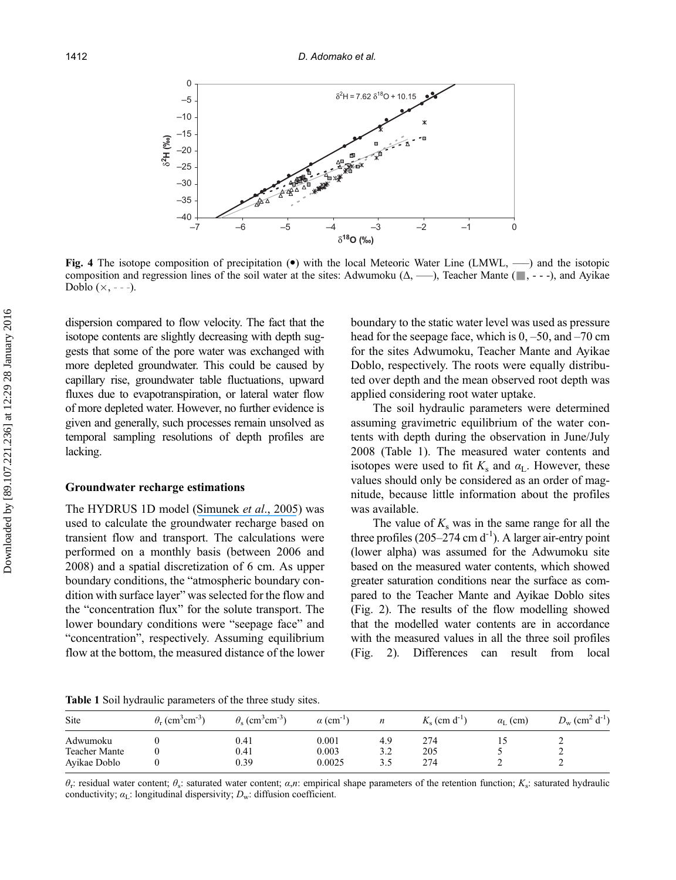

Fig. 4 The isotope composition of precipitation  $(\bullet)$  with the local Meteoric Water Line (LMWL, —) and the isotopic composition and regression lines of the soil water at the sites: Adwumoku  $(\Delta, \longrightarrow)$ , Teacher Mante ( $\Box$ , ---), and Ayikae Doblo  $(x, -,-)$ .

dispersion compared to flow velocity. The fact that the isotope contents are slightly decreasing with depth suggests that some of the pore water was exchanged with more depleted groundwater. This could be caused by capillary rise, groundwater table fluctuations, upward fluxes due to evapotranspiration, or lateral water flow of more depleted water. However, no further evidence is given and generally, such processes remain unsolved as temporal sampling resolutions of depth profiles are lacking.

#### Groundwater recharge estimations

The HYDRUS 1D model ([Simunek](https://www.researchgate.net/publication/271515313_The_HYDRUS-1D_Software_Package_for_Simulating_the_One-Dimensional_Movement_of_Water_Heat_and_Multiple_Solutes_in_Variably-Saturated_Media?el=1_x_8&enrichId=rgreq-f515edda2a0432e5526d3229e8ae0b30-XXX&enrichSource=Y292ZXJQYWdlOzIzMzAzNjE3NjtBUzozNDA5NDU2NDA5MzU0MzBAMTQ1ODI5OTE4NDAwMg==) et al., 2005) was used to calculate the groundwater recharge based on transient flow and transport. The calculations were performed on a monthly basis (between 2006 and 2008) and a spatial discretization of 6 cm. As upper boundary conditions, the "atmospheric boundary condition with surface layer" was selected for the flow and the "concentration flux" for the solute transport. The lower boundary conditions were "seepage face" and "concentration", respectively. Assuming equilibrium flow at the bottom, the measured distance of the lower boundary to the static water level was used as pressure head for the seepage face, which is  $0, -50$ , and  $-70$  cm for the sites Adwumoku, Teacher Mante and Ayikae Doblo, respectively. The roots were equally distributed over depth and the mean observed root depth was applied considering root water uptake.

The soil hydraulic parameters were determined assuming gravimetric equilibrium of the water contents with depth during the observation in June/July 2008 (Table 1). The measured water contents and isotopes were used to fit  $K_s$  and  $\alpha_L$ . However, these values should only be considered as an order of magnitude, because little information about the profiles was available.

The value of  $K_s$  was in the same range for all the three profiles  $(205-274 \text{ cm d}^{-1})$ . A larger air-entry point (lower alpha) was assumed for the Adwumoku site based on the measured water contents, which showed greater saturation conditions near the surface as compared to the Teacher Mante and Ayikae Doblo sites (Fig. 2). The results of the flow modelling showed that the modelled water contents are in accordance with the measured values in all the three soil profiles (Fig. 2). Differences can result from local

Table 1 Soil hydraulic parameters of the three study sites.

| Site                 | $\theta_r$ (cm <sup>3</sup> cm <sup>-3</sup> ) | $\theta_{s}$ (cm <sup>3</sup> cm <sup>-3</sup> ) | $\alpha$ (cm <sup>-1</sup> ) | n   | $Ks$ (cm d <sup>-1</sup> ) | $\alpha_{\rm L}$ (cm) | $D_{\rm w}$ (cm <sup>2</sup> d <sup>-1</sup> ) |
|----------------------|------------------------------------------------|--------------------------------------------------|------------------------------|-----|----------------------------|-----------------------|------------------------------------------------|
| Adwumoku             |                                                | 0.41                                             | 0.001                        | 4.9 | 274                        | IJ                    | ∼                                              |
| <b>Teacher Mante</b> |                                                | 0.41                                             | 0.003                        | 3.2 | 205                        |                       |                                                |
| Avikae Doblo         |                                                | 0.39                                             | 0.0025                       | 3.5 | 274                        |                       |                                                |

 $θ$ <sub>r</sub>: residual water content;  $θ$ <sub>s</sub>: saturated water content;  $α$ ,n: empirical shape parameters of the retention function; K<sub>s</sub>: saturated hydraulic conductivity;  $\alpha_{\text{L}}$ : longitudinal dispersivity;  $D_{\text{w}}$ : diffusion coefficient.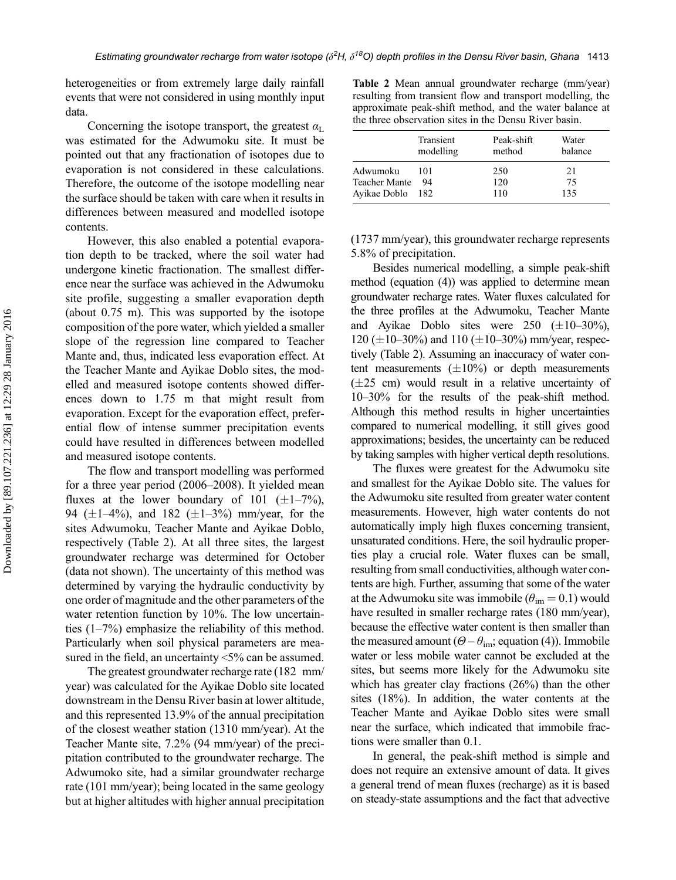heterogeneities or from extremely large daily rainfall events that were not considered in using monthly input data.

Concerning the isotope transport, the greatest  $\alpha_L$ was estimated for the Adwumoku site. It must be pointed out that any fractionation of isotopes due to evaporation is not considered in these calculations. Therefore, the outcome of the isotope modelling near the surface should be taken with care when it results in differences between measured and modelled isotope contents.

However, this also enabled a potential evaporation depth to be tracked, where the soil water had undergone kinetic fractionation. The smallest difference near the surface was achieved in the Adwumoku site profile, suggesting a smaller evaporation depth (about 0.75 m). This was supported by the isotope composition of the pore water, which yielded a smaller slope of the regression line compared to Teacher Mante and, thus, indicated less evaporation effect. At the Teacher Mante and Ayikae Doblo sites, the modelled and measured isotope contents showed differences down to 1.75 m that might result from evaporation. Except for the evaporation effect, preferential flow of intense summer precipitation events could have resulted in differences between modelled and measured isotope contents.

The flow and transport modelling was performed for a three year period (2006–2008). It yielded mean fluxes at the lower boundary of 101 ( $\pm$ 1–7%), 94 ( $\pm$ 1–4%), and 182 ( $\pm$ 1–3%) mm/year, for the sites Adwumoku, Teacher Mante and Ayikae Doblo, respectively (Table 2). At all three sites, the largest groundwater recharge was determined for October (data not shown). The uncertainty of this method was determined by varying the hydraulic conductivity by one order of magnitude and the other parameters of the water retention function by 10%. The low uncertainties (1–7%) emphasize the reliability of this method. Particularly when soil physical parameters are measured in the field, an uncertainty <5% can be assumed.

The greatest groundwater recharge rate (182 mm/ year) was calculated for the Ayikae Doblo site located downstream in the Densu River basin at lower altitude, and this represented 13.9% of the annual precipitation of the closest weather station (1310 mm/year). At the Teacher Mante site, 7.2% (94 mm/year) of the precipitation contributed to the groundwater recharge. The Adwumoko site, had a similar groundwater recharge rate (101 mm/year); being located in the same geology but at higher altitudes with higher annual precipitation

Table 2 Mean annual groundwater recharge (mm/year) resulting from transient flow and transport modelling, the approximate peak-shift method, and the water balance at the three observation sites in the Densu River basin.

|               | Transient<br>modelling | Peak-shift<br>method | Water<br>balance |
|---------------|------------------------|----------------------|------------------|
| Adwumoku      | 101                    | 250                  | 21               |
| Teacher Mante | 94                     | 120                  | 75               |
| Avikae Doblo  | 182                    | 110                  | 135              |

(1737 mm/year), this groundwater recharge represents 5.8% of precipitation.

Besides numerical modelling, a simple peak-shift method (equation (4)) was applied to determine mean groundwater recharge rates. Water fluxes calculated for the three profiles at the Adwumoku, Teacher Mante and Ayikae Doblo sites were  $250 \ (\pm 10-30\%)$ , 120 ( $\pm$ 10–30%) and 110 ( $\pm$ 10–30%) mm/year, respectively (Table 2). Assuming an inaccuracy of water content measurements  $(\pm 10\%)$  or depth measurements  $(\pm 25$  cm) would result in a relative uncertainty of 10–30% for the results of the peak-shift method. Although this method results in higher uncertainties compared to numerical modelling, it still gives good approximations; besides, the uncertainty can be reduced by taking samples with higher vertical depth resolutions.

The fluxes were greatest for the Adwumoku site and smallest for the Ayikae Doblo site. The values for the Adwumoku site resulted from greater water content measurements. However, high water contents do not automatically imply high fluxes concerning transient, unsaturated conditions. Here, the soil hydraulic properties play a crucial role. Water fluxes can be small, resulting from small conductivities, although water contents are high. Further, assuming that some of the water at the Adwumoku site was immobile  $(\theta_{\text{im}} = 0.1)$  would have resulted in smaller recharge rates (180 mm/year), because the effective water content is then smaller than the measured amount ( $\Theta - \theta_{\text{im}}$ ; equation (4)). Immobile water or less mobile water cannot be excluded at the sites, but seems more likely for the Adwumoku site which has greater clay fractions (26%) than the other sites (18%). In addition, the water contents at the Teacher Mante and Ayikae Doblo sites were small near the surface, which indicated that immobile fractions were smaller than 0.1.

In general, the peak-shift method is simple and does not require an extensive amount of data. It gives a general trend of mean fluxes (recharge) as it is based on steady-state assumptions and the fact that advective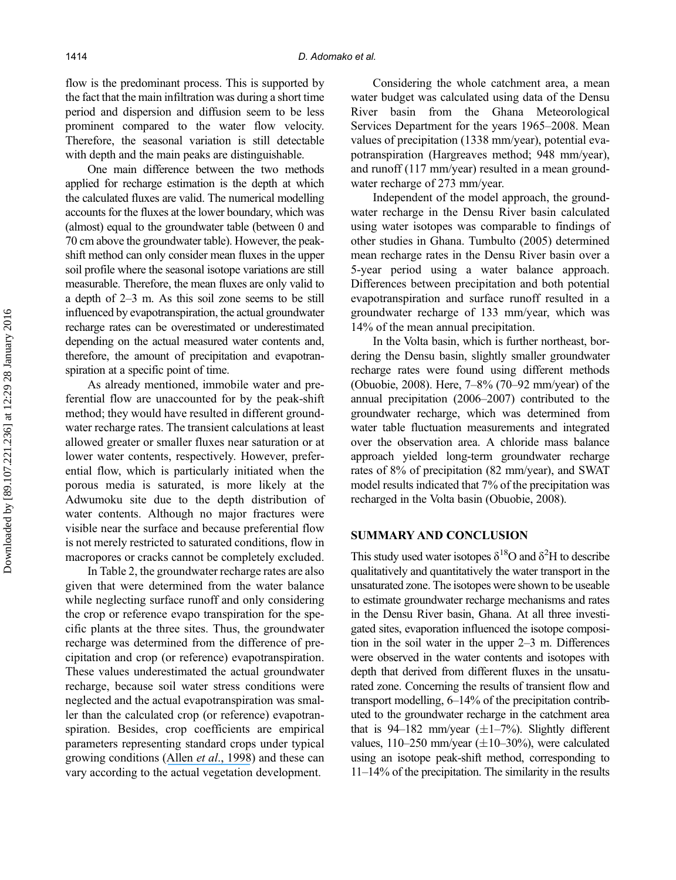flow is the predominant process. This is supported by the fact that the main infiltration was during a short time period and dispersion and diffusion seem to be less prominent compared to the water flow velocity. Therefore, the seasonal variation is still detectable with depth and the main peaks are distinguishable.

One main difference between the two methods applied for recharge estimation is the depth at which the calculated fluxes are valid. The numerical modelling accounts for the fluxes at the lower boundary, which was (almost) equal to the groundwater table (between 0 and 70 cm above the groundwater table). However, the peakshift method can only consider mean fluxes in the upper soil profile where the seasonal isotope variations are still measurable. Therefore, the mean fluxes are only valid to a depth of 2–3 m. As this soil zone seems to be still influenced by evapotranspiration, the actual groundwater recharge rates can be overestimated or underestimated depending on the actual measured water contents and, therefore, the amount of precipitation and evapotranspiration at a specific point of time.

As already mentioned, immobile water and preferential flow are unaccounted for by the peak-shift method; they would have resulted in different groundwater recharge rates. The transient calculations at least allowed greater or smaller fluxes near saturation or at lower water contents, respectively. However, preferential flow, which is particularly initiated when the porous media is saturated, is more likely at the Adwumoku site due to the depth distribution of water contents. Although no major fractures were visible near the surface and because preferential flow is not merely restricted to saturated conditions, flow in macropores or cracks cannot be completely excluded.

In Table 2, the groundwater recharge rates are also given that were determined from the water balance while neglecting surface runoff and only considering the crop or reference evapo transpiration for the specific plants at the three sites. Thus, the groundwater recharge was determined from the difference of precipitation and crop (or reference) evapotranspiration. These values underestimated the actual groundwater recharge, because soil water stress conditions were neglected and the actual evapotranspiration was smaller than the calculated crop (or reference) evapotranspiration. Besides, crop coefficients are empirical parameters representing standard crops under typical growing conditions (Allen et al[., 1998](https://www.researchgate.net/publication/200041957_Crop_Evapotranspiration_Guidelines_for_Computing_Crop_Water_Requirements?el=1_x_8&enrichId=rgreq-f515edda2a0432e5526d3229e8ae0b30-XXX&enrichSource=Y292ZXJQYWdlOzIzMzAzNjE3NjtBUzozNDA5NDU2NDA5MzU0MzBAMTQ1ODI5OTE4NDAwMg==)) and these can vary according to the actual vegetation development.

Considering the whole catchment area, a mean water budget was calculated using data of the Densu River basin from the Ghana Meteorological Services Department for the years 1965–2008. Mean values of precipitation (1338 mm/year), potential evapotranspiration (Hargreaves method; 948 mm/year), and runoff (117 mm/year) resulted in a mean groundwater recharge of 273 mm/year.

Independent of the model approach, the groundwater recharge in the Densu River basin calculated using water isotopes was comparable to findings of other studies in Ghana. Tumbulto (2005) determined mean recharge rates in the Densu River basin over a 5-year period using a water balance approach. Differences between precipitation and both potential evapotranspiration and surface runoff resulted in a groundwater recharge of 133 mm/year, which was 14% of the mean annual precipitation.

In the Volta basin, which is further northeast, bordering the Densu basin, slightly smaller groundwater recharge rates were found using different methods (Obuobie, 2008). Here, 7–8% (70–92 mm/year) of the annual precipitation (2006–2007) contributed to the groundwater recharge, which was determined from water table fluctuation measurements and integrated over the observation area. A chloride mass balance approach yielded long-term groundwater recharge rates of 8% of precipitation (82 mm/year), and SWAT model results indicated that 7% of the precipitation was recharged in the Volta basin (Obuobie, 2008).

# SUMMARY AND CONCLUSION

This study used water isotopes  $\delta^{18}$ O and  $\delta^2$ H to describe qualitatively and quantitatively the water transport in the unsaturated zone. The isotopes were shown to be useable to estimate groundwater recharge mechanisms and rates in the Densu River basin, Ghana. At all three investigated sites, evaporation influenced the isotope composition in the soil water in the upper 2–3 m. Differences were observed in the water contents and isotopes with depth that derived from different fluxes in the unsaturated zone. Concerning the results of transient flow and transport modelling, 6–14% of the precipitation contributed to the groundwater recharge in the catchment area that is 94–182 mm/year  $(\pm 1 - 7\%)$ . Slightly different values,  $110-250$  mm/year  $(\pm 10-30%)$ , were calculated using an isotope peak-shift method, corresponding to 11–14% of the precipitation. The similarity in the results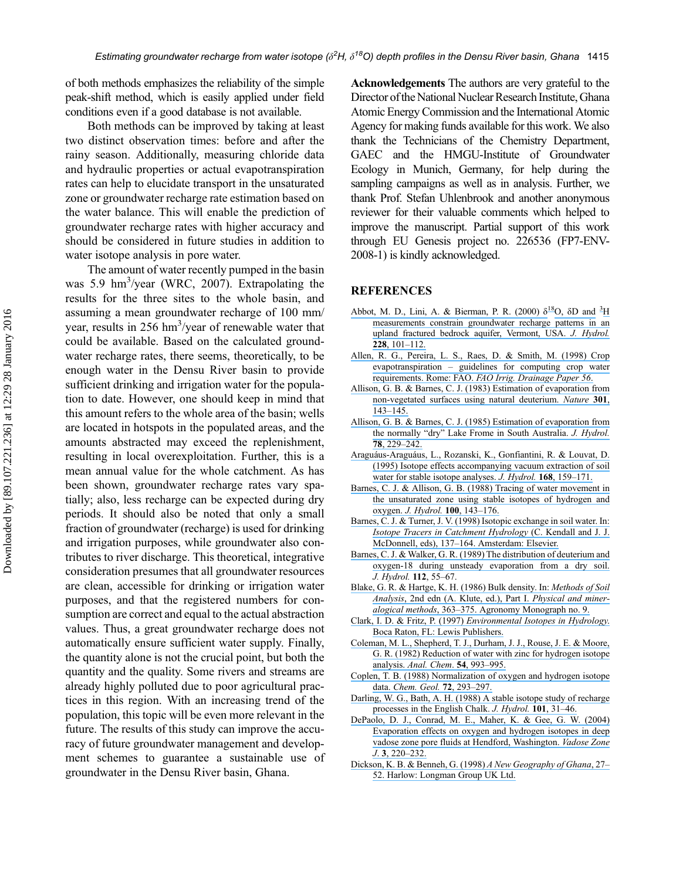of both methods emphasizes the reliability of the simple peak-shift method, which is easily applied under field conditions even if a good database is not available.

Both methods can be improved by taking at least two distinct observation times: before and after the rainy season. Additionally, measuring chloride data and hydraulic properties or actual evapotranspiration rates can help to elucidate transport in the unsaturated zone or groundwater recharge rate estimation based on the water balance. This will enable the prediction of groundwater recharge rates with higher accuracy and should be considered in future studies in addition to water isotope analysis in pore water.

The amount of water recently pumped in the basin was 5.9 hm<sup>3</sup>/year (WRC, 2007). Extrapolating the results for the three sites to the whole basin, and assuming a mean groundwater recharge of 100 mm/ year, results in 256 hm<sup>3</sup>/year of renewable water that could be available. Based on the calculated groundwater recharge rates, there seems, theoretically, to be enough water in the Densu River basin to provide sufficient drinking and irrigation water for the population to date. However, one should keep in mind that this amount refers to the whole area of the basin; wells are located in hotspots in the populated areas, and the amounts abstracted may exceed the replenishment, resulting in local overexploitation. Further, this is a mean annual value for the whole catchment. As has been shown, groundwater recharge rates vary spatially; also, less recharge can be expected during dry periods. It should also be noted that only a small fraction of groundwater (recharge) is used for drinking and irrigation purposes, while groundwater also contributes to river discharge. This theoretical, integrative consideration presumes that all groundwater resources are clean, accessible for drinking or irrigation water purposes, and that the registered numbers for consumption are correct and equal to the actual abstraction values. Thus, a great groundwater recharge does not automatically ensure sufficient water supply. Finally, the quantity alone is not the crucial point, but both the quantity and the quality. Some rivers and streams are already highly polluted due to poor agricultural practices in this region. With an increasing trend of the population, this topic will be even more relevant in the future. The results of this study can improve the accuracy of future groundwater management and development schemes to guarantee a sustainable use of groundwater in the Densu River basin, Ghana.

Acknowledgements The authors are very grateful to the Director of the National Nuclear Research Institute, Ghana Atomic Energy Commission and the International Atomic Agency for making funds available for this work. We also thank the Technicians of the Chemistry Department, GAEC and the HMGU-Institute of Groundwater Ecology in Munich, Germany, for help during the sampling campaigns as well as in analysis. Further, we thank Prof. Stefan Uhlenbrook and another anonymous reviewer for their valuable comments which helped to improve the manuscript. Partial support of this work through EU Genesis project no. 226536 (FP7-ENV-2008-1) is kindly acknowledged.

#### **REFERENCES**

- [Abbot, M. D., Lini, A. & Bierman, P. R. \(2000\)](https://www.researchgate.net/publication/223856905_d18O_dD_and_3H_measurements_constrain_groundwater_recharge_patterns_in_an_upland_fractured_bedrock_aquifer_Vermont_USA?el=1_x_8&enrichId=rgreq-f515edda2a0432e5526d3229e8ae0b30-XXX&enrichSource=Y292ZXJQYWdlOzIzMzAzNjE3NjtBUzozNDA5NDU2NDA5MzU0MzBAMTQ1ODI5OTE4NDAwMg==)  $\delta^{18}O$ ,  $\delta D$  and  $\frac{3H}{2}$  $\frac{3H}{2}$  $\frac{3H}{2}$  $\frac{3H}{2}$ [measurements constrain groundwater recharge patterns in an](https://www.researchgate.net/publication/223856905_d18O_dD_and_3H_measurements_constrain_groundwater_recharge_patterns_in_an_upland_fractured_bedrock_aquifer_Vermont_USA?el=1_x_8&enrichId=rgreq-f515edda2a0432e5526d3229e8ae0b30-XXX&enrichSource=Y292ZXJQYWdlOzIzMzAzNjE3NjtBUzozNDA5NDU2NDA5MzU0MzBAMTQ1ODI5OTE4NDAwMg==) [upland fractured bedrock aquifer, Vermont, USA.](https://www.researchgate.net/publication/223856905_d18O_dD_and_3H_measurements_constrain_groundwater_recharge_patterns_in_an_upland_fractured_bedrock_aquifer_Vermont_USA?el=1_x_8&enrichId=rgreq-f515edda2a0432e5526d3229e8ae0b30-XXX&enrichSource=Y292ZXJQYWdlOzIzMzAzNjE3NjtBUzozNDA5NDU2NDA5MzU0MzBAMTQ1ODI5OTE4NDAwMg==) J. Hydrol. 228[, 101](https://www.researchgate.net/publication/223856905_d18O_dD_and_3H_measurements_constrain_groundwater_recharge_patterns_in_an_upland_fractured_bedrock_aquifer_Vermont_USA?el=1_x_8&enrichId=rgreq-f515edda2a0432e5526d3229e8ae0b30-XXX&enrichSource=Y292ZXJQYWdlOzIzMzAzNjE3NjtBUzozNDA5NDU2NDA5MzU0MzBAMTQ1ODI5OTE4NDAwMg==)–112.
- [Allen, R. G., Pereira, L. S., Raes, D. & Smith, M. \(1998\) Crop](https://www.researchgate.net/publication/200041957_Crop_Evapotranspiration_Guidelines_for_Computing_Crop_Water_Requirements?el=1_x_8&enrichId=rgreq-f515edda2a0432e5526d3229e8ae0b30-XXX&enrichSource=Y292ZXJQYWdlOzIzMzAzNjE3NjtBUzozNDA5NDU2NDA5MzU0MzBAMTQ1ODI5OTE4NDAwMg==) evapotranspiration – [guidelines for computing crop water](https://www.researchgate.net/publication/200041957_Crop_Evapotranspiration_Guidelines_for_Computing_Crop_Water_Requirements?el=1_x_8&enrichId=rgreq-f515edda2a0432e5526d3229e8ae0b30-XXX&enrichSource=Y292ZXJQYWdlOzIzMzAzNjE3NjtBUzozNDA5NDU2NDA5MzU0MzBAMTQ1ODI5OTE4NDAwMg==) requirements. Rome: FAO. [FAO Irrig. Drainage Paper 56](https://www.researchgate.net/publication/200041957_Crop_Evapotranspiration_Guidelines_for_Computing_Crop_Water_Requirements?el=1_x_8&enrichId=rgreq-f515edda2a0432e5526d3229e8ae0b30-XXX&enrichSource=Y292ZXJQYWdlOzIzMzAzNjE3NjtBUzozNDA5NDU2NDA5MzU0MzBAMTQ1ODI5OTE4NDAwMg==).
- [Allison, G. B. & Barnes, C. J. \(1983\) Estimation of evaporation from](https://www.researchgate.net/publication/232763653_Estimation_of_evaporation_from_non-vegetated_surfaces_using_natural_deuterium?el=1_x_8&enrichId=rgreq-f515edda2a0432e5526d3229e8ae0b30-XXX&enrichSource=Y292ZXJQYWdlOzIzMzAzNjE3NjtBUzozNDA5NDU2NDA5MzU0MzBAMTQ1ODI5OTE4NDAwMg==) [non-vegetated surfaces using natural deuterium.](https://www.researchgate.net/publication/232763653_Estimation_of_evaporation_from_non-vegetated_surfaces_using_natural_deuterium?el=1_x_8&enrichId=rgreq-f515edda2a0432e5526d3229e8ae0b30-XXX&enrichSource=Y292ZXJQYWdlOzIzMzAzNjE3NjtBUzozNDA5NDU2NDA5MzU0MzBAMTQ1ODI5OTE4NDAwMg==) Nature 301, 143–[145.](https://www.researchgate.net/publication/232763653_Estimation_of_evaporation_from_non-vegetated_surfaces_using_natural_deuterium?el=1_x_8&enrichId=rgreq-f515edda2a0432e5526d3229e8ae0b30-XXX&enrichSource=Y292ZXJQYWdlOzIzMzAzNjE3NjtBUzozNDA5NDU2NDA5MzU0MzBAMTQ1ODI5OTE4NDAwMg==)
- [Allison, G. B. & Barnes, C. J. \(1985\) Estimation of evaporation from](https://www.researchgate.net/publication/245098855_Estimation_of_evaporation_from_the_normally_dry) the normally "dry" [Lake Frome in South Australia.](https://www.researchgate.net/publication/245098855_Estimation_of_evaporation_from_the_normally_dry) J. Hydrol. 78[, 229](https://www.researchgate.net/publication/245098855_Estimation_of_evaporation_from_the_normally_dry)–242.
- [Araguáus-Araguáus, L., Rozanski, K., Gonfiantini, R. & Louvat, D.](https://www.researchgate.net/publication/223506761_Isotope_effects_accompanying_vacuum_extraction_of_soil_water_for_stable_isotope_analyses?el=1_x_8&enrichId=rgreq-f515edda2a0432e5526d3229e8ae0b30-XXX&enrichSource=Y292ZXJQYWdlOzIzMzAzNjE3NjtBUzozNDA5NDU2NDA5MzU0MzBAMTQ1ODI5OTE4NDAwMg==) [\(1995\) Isotope effects accompanying vacuum extraction of soil](https://www.researchgate.net/publication/223506761_Isotope_effects_accompanying_vacuum_extraction_of_soil_water_for_stable_isotope_analyses?el=1_x_8&enrichId=rgreq-f515edda2a0432e5526d3229e8ae0b30-XXX&enrichSource=Y292ZXJQYWdlOzIzMzAzNjE3NjtBUzozNDA5NDU2NDA5MzU0MzBAMTQ1ODI5OTE4NDAwMg==) [water for stable isotope analyses.](https://www.researchgate.net/publication/223506761_Isotope_effects_accompanying_vacuum_extraction_of_soil_water_for_stable_isotope_analyses?el=1_x_8&enrichId=rgreq-f515edda2a0432e5526d3229e8ae0b30-XXX&enrichSource=Y292ZXJQYWdlOzIzMzAzNjE3NjtBUzozNDA5NDU2NDA5MzU0MzBAMTQ1ODI5OTE4NDAwMg==) J. Hydrol. **168**, 159-171.
- [Barnes, C. J. & Allison, G. B. \(1988\) Tracing of water movement in](https://www.researchgate.net/publication/222375122_Tracing_of_water_movement_in_the_unsaturated_zone_using_stable_isotopes_of_hydrogen_and_oxygen?el=1_x_8&enrichId=rgreq-f515edda2a0432e5526d3229e8ae0b30-XXX&enrichSource=Y292ZXJQYWdlOzIzMzAzNjE3NjtBUzozNDA5NDU2NDA5MzU0MzBAMTQ1ODI5OTE4NDAwMg==) [the unsaturated zone using stable isotopes of hydrogen and](https://www.researchgate.net/publication/222375122_Tracing_of_water_movement_in_the_unsaturated_zone_using_stable_isotopes_of_hydrogen_and_oxygen?el=1_x_8&enrichId=rgreq-f515edda2a0432e5526d3229e8ae0b30-XXX&enrichSource=Y292ZXJQYWdlOzIzMzAzNjE3NjtBUzozNDA5NDU2NDA5MzU0MzBAMTQ1ODI5OTE4NDAwMg==) oxygen. [J. Hydrol.](https://www.researchgate.net/publication/222375122_Tracing_of_water_movement_in_the_unsaturated_zone_using_stable_isotopes_of_hydrogen_and_oxygen?el=1_x_8&enrichId=rgreq-f515edda2a0432e5526d3229e8ae0b30-XXX&enrichSource=Y292ZXJQYWdlOzIzMzAzNjE3NjtBUzozNDA5NDU2NDA5MzU0MzBAMTQ1ODI5OTE4NDAwMg==) 100, 143–176.
- [Barnes, C. J. & Turner, J. V. \(1998\) Isotopic exchange in soil water. In:](https://www.researchgate.net/publication/259577162_Isotopic_exchange_effects_in_soil_water?el=1_x_8&enrichId=rgreq-f515edda2a0432e5526d3229e8ae0b30-XXX&enrichSource=Y292ZXJQYWdlOzIzMzAzNjE3NjtBUzozNDA5NDU2NDA5MzU0MzBAMTQ1ODI5OTE4NDAwMg==) [Isotope Tracers in Catchment Hydrology](https://www.researchgate.net/publication/259577162_Isotopic_exchange_effects_in_soil_water?el=1_x_8&enrichId=rgreq-f515edda2a0432e5526d3229e8ae0b30-XXX&enrichSource=Y292ZXJQYWdlOzIzMzAzNjE3NjtBUzozNDA5NDU2NDA5MzU0MzBAMTQ1ODI5OTE4NDAwMg==) (C. Kendall and J. J. McDonnell, eds), 137–[164. Amsterdam: Elsevier.](https://www.researchgate.net/publication/259577162_Isotopic_exchange_effects_in_soil_water?el=1_x_8&enrichId=rgreq-f515edda2a0432e5526d3229e8ae0b30-XXX&enrichSource=Y292ZXJQYWdlOzIzMzAzNjE3NjtBUzozNDA5NDU2NDA5MzU0MzBAMTQ1ODI5OTE4NDAwMg==)
- [Barnes, C. J. & Walker, G. R. \(1989\) The distribution of deuterium and](https://www.researchgate.net/publication/239351472_The_distribution_of_deuterium_and_oxygen-18_during_unsteady_evaporation_from_a_dry_soil?el=1_x_8&enrichId=rgreq-f515edda2a0432e5526d3229e8ae0b30-XXX&enrichSource=Y292ZXJQYWdlOzIzMzAzNjE3NjtBUzozNDA5NDU2NDA5MzU0MzBAMTQ1ODI5OTE4NDAwMg==) [oxygen-18 during unsteady evaporation from a dry soil.](https://www.researchgate.net/publication/239351472_The_distribution_of_deuterium_and_oxygen-18_during_unsteady_evaporation_from_a_dry_soil?el=1_x_8&enrichId=rgreq-f515edda2a0432e5526d3229e8ae0b30-XXX&enrichSource=Y292ZXJQYWdlOzIzMzAzNjE3NjtBUzozNDA5NDU2NDA5MzU0MzBAMTQ1ODI5OTE4NDAwMg==) J. Hydrol. 112, 55–67.
- [Blake, G. R. & Hartge, K. H. \(1986\) Bulk density. In:](https://www.researchgate.net/publication/290796980_Particle_density_in_methods_of_soil_analysis?el=1_x_8&enrichId=rgreq-f515edda2a0432e5526d3229e8ae0b30-XXX&enrichSource=Y292ZXJQYWdlOzIzMzAzNjE3NjtBUzozNDA5NDU2NDA5MzU0MzBAMTQ1ODI5OTE4NDAwMg==) Methods of Soil Analysis[, 2nd edn \(A. Klute, ed.\), Part I.](https://www.researchgate.net/publication/290796980_Particle_density_in_methods_of_soil_analysis?el=1_x_8&enrichId=rgreq-f515edda2a0432e5526d3229e8ae0b30-XXX&enrichSource=Y292ZXJQYWdlOzIzMzAzNjE3NjtBUzozNDA5NDU2NDA5MzU0MzBAMTQ1ODI5OTE4NDAwMg==) Physical and mineralogical methods, 363–[375. Agronomy Monograph no. 9.](https://www.researchgate.net/publication/290796980_Particle_density_in_methods_of_soil_analysis?el=1_x_8&enrichId=rgreq-f515edda2a0432e5526d3229e8ae0b30-XXX&enrichSource=Y292ZXJQYWdlOzIzMzAzNjE3NjtBUzozNDA5NDU2NDA5MzU0MzBAMTQ1ODI5OTE4NDAwMg==)
- Clark, I. D. & Fritz, P. (1997) [Environmental Isotopes in Hydrology](https://www.researchgate.net/publication/201996750_Environmental_Isotopes_in_Hydrology?el=1_x_8&enrichId=rgreq-f515edda2a0432e5526d3229e8ae0b30-XXX&enrichSource=Y292ZXJQYWdlOzIzMzAzNjE3NjtBUzozNDA5NDU2NDA5MzU0MzBAMTQ1ODI5OTE4NDAwMg==). [Boca Raton, FL: Lewis Publishers.](https://www.researchgate.net/publication/201996750_Environmental_Isotopes_in_Hydrology?el=1_x_8&enrichId=rgreq-f515edda2a0432e5526d3229e8ae0b30-XXX&enrichSource=Y292ZXJQYWdlOzIzMzAzNjE3NjtBUzozNDA5NDU2NDA5MzU0MzBAMTQ1ODI5OTE4NDAwMg==)
- [Coleman, M. L., Shepherd, T. J., Durham, J. J., Rouse, J. E. & Moore,](https://www.researchgate.net/publication/231174645_Reduction_of_water_with_zinc_for_hydrogen_isotope_analysis?el=1_x_8&enrichId=rgreq-f515edda2a0432e5526d3229e8ae0b30-XXX&enrichSource=Y292ZXJQYWdlOzIzMzAzNjE3NjtBUzozNDA5NDU2NDA5MzU0MzBAMTQ1ODI5OTE4NDAwMg==) [G. R. \(1982\) Reduction of water with zinc for hydrogen isotope](https://www.researchgate.net/publication/231174645_Reduction_of_water_with_zinc_for_hydrogen_isotope_analysis?el=1_x_8&enrichId=rgreq-f515edda2a0432e5526d3229e8ae0b30-XXX&enrichSource=Y292ZXJQYWdlOzIzMzAzNjE3NjtBUzozNDA5NDU2NDA5MzU0MzBAMTQ1ODI5OTE4NDAwMg==) analysis. [Anal. Chem](https://www.researchgate.net/publication/231174645_Reduction_of_water_with_zinc_for_hydrogen_isotope_analysis?el=1_x_8&enrichId=rgreq-f515edda2a0432e5526d3229e8ae0b30-XXX&enrichSource=Y292ZXJQYWdlOzIzMzAzNjE3NjtBUzozNDA5NDU2NDA5MzU0MzBAMTQ1ODI5OTE4NDAwMg==). 54, 993–995.
- [Coplen, T. B. \(1988\) Normalization of oxygen and hydrogen isotope](https://www.researchgate.net/publication/250749594_Normalization_of_Oxygen_and_Hydrogen_Isotope_Data?el=1_x_8&enrichId=rgreq-f515edda2a0432e5526d3229e8ae0b30-XXX&enrichSource=Y292ZXJQYWdlOzIzMzAzNjE3NjtBUzozNDA5NDU2NDA5MzU0MzBAMTQ1ODI5OTE4NDAwMg==) data. [Chem. Geol.](https://www.researchgate.net/publication/250749594_Normalization_of_Oxygen_and_Hydrogen_Isotope_Data?el=1_x_8&enrichId=rgreq-f515edda2a0432e5526d3229e8ae0b30-XXX&enrichSource=Y292ZXJQYWdlOzIzMzAzNjE3NjtBUzozNDA5NDU2NDA5MzU0MzBAMTQ1ODI5OTE4NDAwMg==) 72, 293–297.
- [Darling, W. G., Bath, A. H. \(1988\) A stable isotope study of recharge](https://www.researchgate.net/publication/238168154_A_stable_isotope_study_of_recharge_processes_in_the_English_Chalk?el=1_x_8&enrichId=rgreq-f515edda2a0432e5526d3229e8ae0b30-XXX&enrichSource=Y292ZXJQYWdlOzIzMzAzNjE3NjtBUzozNDA5NDU2NDA5MzU0MzBAMTQ1ODI5OTE4NDAwMg==) [processes in the English Chalk.](https://www.researchgate.net/publication/238168154_A_stable_isotope_study_of_recharge_processes_in_the_English_Chalk?el=1_x_8&enrichId=rgreq-f515edda2a0432e5526d3229e8ae0b30-XXX&enrichSource=Y292ZXJQYWdlOzIzMzAzNjE3NjtBUzozNDA5NDU2NDA5MzU0MzBAMTQ1ODI5OTE4NDAwMg==) J. Hydrol. 101, 31–46.
- [DePaolo, D. J., Conrad, M. E., Maher, K. & Gee, G. W. \(2004\)](https://www.researchgate.net/publication/255276040_Evaporation_Effects_on_Oxygen_and_Hydrogen_Isotopes_in_Deep_Vadose_Zone_Pore_Fluids_at_Hanford_Washington?el=1_x_8&enrichId=rgreq-f515edda2a0432e5526d3229e8ae0b30-XXX&enrichSource=Y292ZXJQYWdlOzIzMzAzNjE3NjtBUzozNDA5NDU2NDA5MzU0MzBAMTQ1ODI5OTE4NDAwMg==) [Evaporation effects on oxygen and hydrogen isotopes in deep](https://www.researchgate.net/publication/255276040_Evaporation_Effects_on_Oxygen_and_Hydrogen_Isotopes_in_Deep_Vadose_Zone_Pore_Fluids_at_Hanford_Washington?el=1_x_8&enrichId=rgreq-f515edda2a0432e5526d3229e8ae0b30-XXX&enrichSource=Y292ZXJQYWdlOzIzMzAzNjE3NjtBUzozNDA5NDU2NDA5MzU0MzBAMTQ1ODI5OTE4NDAwMg==) [vadose zone pore fluids at Hendford, Washington.](https://www.researchgate.net/publication/255276040_Evaporation_Effects_on_Oxygen_and_Hydrogen_Isotopes_in_Deep_Vadose_Zone_Pore_Fluids_at_Hanford_Washington?el=1_x_8&enrichId=rgreq-f515edda2a0432e5526d3229e8ae0b30-XXX&enrichSource=Y292ZXJQYWdlOzIzMzAzNjE3NjtBUzozNDA5NDU2NDA5MzU0MzBAMTQ1ODI5OTE4NDAwMg==) Vadose Zone J. 3[, 220](https://www.researchgate.net/publication/255276040_Evaporation_Effects_on_Oxygen_and_Hydrogen_Isotopes_in_Deep_Vadose_Zone_Pore_Fluids_at_Hanford_Washington?el=1_x_8&enrichId=rgreq-f515edda2a0432e5526d3229e8ae0b30-XXX&enrichSource=Y292ZXJQYWdlOzIzMzAzNjE3NjtBUzozNDA5NDU2NDA5MzU0MzBAMTQ1ODI5OTE4NDAwMg==)–232.
- [Dickson, K. B. & Benneh, G. \(1998\)](https://www.researchgate.net/publication/275882880_Geography_of_Ghana?el=1_x_8&enrichId=rgreq-f515edda2a0432e5526d3229e8ae0b30-XXX&enrichSource=Y292ZXJQYWdlOzIzMzAzNjE3NjtBUzozNDA5NDU2NDA5MzU0MzBAMTQ1ODI5OTE4NDAwMg==) A New Geography of Ghana, 27– [52. Harlow: Longman Group UK Ltd.](https://www.researchgate.net/publication/275882880_Geography_of_Ghana?el=1_x_8&enrichId=rgreq-f515edda2a0432e5526d3229e8ae0b30-XXX&enrichSource=Y292ZXJQYWdlOzIzMzAzNjE3NjtBUzozNDA5NDU2NDA5MzU0MzBAMTQ1ODI5OTE4NDAwMg==)